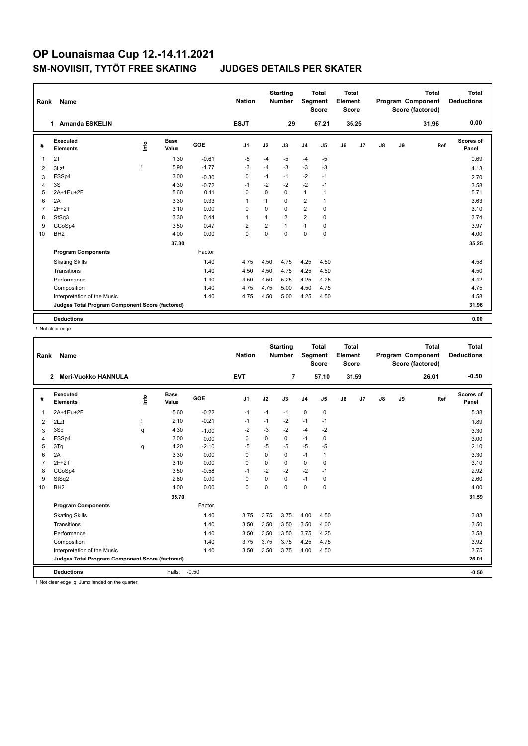| Rank | Name                                            |      |                      |         | <b>Nation</b>  |                | <b>Starting</b><br><b>Number</b> | Segment        | <b>Total</b><br><b>Score</b> | <b>Total</b><br>Element<br>Score |       |    |    | <b>Total</b><br>Program Component<br>Score (factored) | <b>Total</b><br><b>Deductions</b> |
|------|-------------------------------------------------|------|----------------------|---------|----------------|----------------|----------------------------------|----------------|------------------------------|----------------------------------|-------|----|----|-------------------------------------------------------|-----------------------------------|
|      | <b>Amanda ESKELIN</b><br>1.                     |      |                      |         | <b>ESJT</b>    |                | 29                               |                | 67.21                        |                                  | 35.25 |    |    | 31.96                                                 | 0.00                              |
| #    | Executed<br><b>Elements</b>                     | lnfo | <b>Base</b><br>Value | GOE     | J <sub>1</sub> | J2             | J3                               | J <sub>4</sub> | J <sub>5</sub>               | J6                               | J7    | J8 | J9 | Ref                                                   | Scores of<br>Panel                |
| 1    | 2T                                              |      | 1.30                 | $-0.61$ | $-5$           | -4             | -5                               | $-4$           | $-5$                         |                                  |       |    |    |                                                       | 0.69                              |
| 2    | 3Lz!                                            | ı    | 5.90                 | $-1.77$ | $-3$           | $-4$           | $-3$                             | $-3$           | $-3$                         |                                  |       |    |    |                                                       | 4.13                              |
| 3    | FSSp4                                           |      | 3.00                 | $-0.30$ | 0              | $-1$           | $-1$                             | $-2$           | $-1$                         |                                  |       |    |    |                                                       | 2.70                              |
| 4    | 3S                                              |      | 4.30                 | $-0.72$ | $-1$           | $-2$           | $-2$                             | $-2$           | $-1$                         |                                  |       |    |    |                                                       | 3.58                              |
| 5    | 2A+1Eu+2F                                       |      | 5.60                 | 0.11    | $\mathbf 0$    | $\Omega$       | $\mathbf 0$                      | $\mathbf{1}$   | $\mathbf{1}$                 |                                  |       |    |    |                                                       | 5.71                              |
| 6    | 2A                                              |      | 3.30                 | 0.33    | $\overline{1}$ | $\mathbf{1}$   | $\Omega$                         | $\overline{2}$ |                              |                                  |       |    |    |                                                       | 3.63                              |
| 7    | $2F+2T$                                         |      | 3.10                 | 0.00    | $\Omega$       | $\Omega$       | $\Omega$                         | $\overline{2}$ | $\mathbf 0$                  |                                  |       |    |    |                                                       | 3.10                              |
| 8    | StSq3                                           |      | 3.30                 | 0.44    | 1              | $\mathbf{1}$   | $\overline{2}$                   | $\overline{2}$ | 0                            |                                  |       |    |    |                                                       | 3.74                              |
| 9    | CCoSp4                                          |      | 3.50                 | 0.47    | $\overline{2}$ | $\overline{2}$ | $\mathbf{1}$                     | 1              | $\mathbf 0$                  |                                  |       |    |    |                                                       | 3.97                              |
| 10   | BH <sub>2</sub>                                 |      | 4.00                 | 0.00    | 0              | $\Omega$       | $\Omega$                         | 0              | 0                            |                                  |       |    |    |                                                       | 4.00                              |
|      |                                                 |      | 37.30                |         |                |                |                                  |                |                              |                                  |       |    |    |                                                       | 35.25                             |
|      | <b>Program Components</b>                       |      |                      | Factor  |                |                |                                  |                |                              |                                  |       |    |    |                                                       |                                   |
|      | <b>Skating Skills</b>                           |      |                      | 1.40    | 4.75           | 4.50           | 4.75                             | 4.25           | 4.50                         |                                  |       |    |    |                                                       | 4.58                              |
|      | Transitions                                     |      |                      | 1.40    | 4.50           | 4.50           | 4.75                             | 4.25           | 4.50                         |                                  |       |    |    |                                                       | 4.50                              |
|      | Performance                                     |      |                      | 1.40    | 4.50           | 4.50           | 5.25                             | 4.25           | 4.25                         |                                  |       |    |    |                                                       | 4.42                              |
|      | Composition                                     |      |                      | 1.40    | 4.75           | 4.75           | 5.00                             | 4.50           | 4.75                         |                                  |       |    |    |                                                       | 4.75                              |
|      | Interpretation of the Music                     |      |                      | 1.40    | 4.75           | 4.50           | 5.00                             | 4.25           | 4.50                         |                                  |       |    |    |                                                       | 4.58                              |
|      | Judges Total Program Component Score (factored) |      |                      |         |                |                |                                  |                |                              |                                  |       |    |    |                                                       | 31.96                             |
|      | <b>Deductions</b>                               |      |                      |         |                |                |                                  |                |                              |                                  |       |    |    |                                                       | 0.00                              |

! Not clear edge

| Rank           | Name                                            |      |                      |         | <b>Nation</b> |             | <b>Starting</b><br><b>Number</b> | Segment        | <b>Total</b><br><b>Score</b> | <b>Total</b><br>Element<br><b>Score</b> |                |    |    | <b>Total</b><br>Program Component<br>Score (factored) | <b>Total</b><br><b>Deductions</b> |
|----------------|-------------------------------------------------|------|----------------------|---------|---------------|-------------|----------------------------------|----------------|------------------------------|-----------------------------------------|----------------|----|----|-------------------------------------------------------|-----------------------------------|
|                | <b>Meri-Vuokko HANNULA</b><br>2                 |      |                      |         | <b>EVT</b>    |             | $\overline{7}$                   |                | 57.10                        |                                         | 31.59          |    |    | 26.01                                                 | $-0.50$                           |
| #              | Executed<br><b>Elements</b>                     | Info | <b>Base</b><br>Value | GOE     | J1            | J2          | J3                               | J <sub>4</sub> | J5                           | J6                                      | J <sub>7</sub> | J8 | J9 | Ref                                                   | Scores of<br>Panel                |
| $\overline{1}$ | 2A+1Eu+2F                                       |      | 5.60                 | $-0.22$ | $-1$          | $-1$        | $-1$                             | $\mathbf 0$    | $\mathbf 0$                  |                                         |                |    |    |                                                       | 5.38                              |
| 2              | 2Lz!                                            |      | 2.10                 | $-0.21$ | $-1$          | $-1$        | $-2$                             | $-1$           | $-1$                         |                                         |                |    |    |                                                       | 1.89                              |
| 3              | 3Sq                                             | q    | 4.30                 | $-1.00$ | $-2$          | $-3$        | $-2$                             | $-4$           | $-2$                         |                                         |                |    |    |                                                       | 3.30                              |
| 4              | FSSp4                                           |      | 3.00                 | 0.00    | $\Omega$      | $\mathbf 0$ | $\mathbf 0$                      | $-1$           | $\mathbf 0$                  |                                         |                |    |    |                                                       | 3.00                              |
| 5              | 3Tq                                             | q    | 4.20                 | $-2.10$ | -5            | $-5$        | $-5$                             | -5             | $-5$                         |                                         |                |    |    |                                                       | 2.10                              |
| 6              | 2A                                              |      | 3.30                 | 0.00    | $\Omega$      | 0           | 0                                | $-1$           | 1                            |                                         |                |    |    |                                                       | 3.30                              |
| $\overline{7}$ | $2F+2T$                                         |      | 3.10                 | 0.00    | $\mathbf 0$   | $\mathbf 0$ | 0                                | $\mathbf 0$    | 0                            |                                         |                |    |    |                                                       | 3.10                              |
| 8              | CCoSp4                                          |      | 3.50                 | $-0.58$ | $-1$          | $-2$        | $-2$                             | $-2$           | $-1$                         |                                         |                |    |    |                                                       | 2.92                              |
| 9              | StSq2                                           |      | 2.60                 | 0.00    | 0             | 0           | 0                                | $-1$           | 0                            |                                         |                |    |    |                                                       | 2.60                              |
| 10             | BH <sub>2</sub>                                 |      | 4.00                 | 0.00    | $\mathbf 0$   | $\mathbf 0$ | 0                                | $\mathbf 0$    | $\mathbf 0$                  |                                         |                |    |    |                                                       | 4.00                              |
|                |                                                 |      | 35.70                |         |               |             |                                  |                |                              |                                         |                |    |    |                                                       | 31.59                             |
|                | <b>Program Components</b>                       |      |                      | Factor  |               |             |                                  |                |                              |                                         |                |    |    |                                                       |                                   |
|                | <b>Skating Skills</b>                           |      |                      | 1.40    | 3.75          | 3.75        | 3.75                             | 4.00           | 4.50                         |                                         |                |    |    |                                                       | 3.83                              |
|                | Transitions                                     |      |                      | 1.40    | 3.50          | 3.50        | 3.50                             | 3.50           | 4.00                         |                                         |                |    |    |                                                       | 3.50                              |
|                | Performance                                     |      |                      | 1.40    | 3.50          | 3.50        | 3.50                             | 3.75           | 4.25                         |                                         |                |    |    |                                                       | 3.58                              |
|                | Composition                                     |      |                      | 1.40    | 3.75          | 3.75        | 3.75                             | 4.25           | 4.75                         |                                         |                |    |    |                                                       | 3.92                              |
|                | Interpretation of the Music                     |      |                      | 1.40    | 3.50          | 3.50        | 3.75                             | 4.00           | 4.50                         |                                         |                |    |    |                                                       | 3.75                              |
|                | Judges Total Program Component Score (factored) |      |                      |         |               |             |                                  |                |                              |                                         |                |    |    |                                                       | 26.01                             |
|                | <b>Deductions</b>                               |      | Falls:               | $-0.50$ |               |             |                                  |                |                              |                                         |                |    |    |                                                       | $-0.50$                           |
|                | Not clear edge a lump landed on the quarter     |      |                      |         |               |             |                                  |                |                              |                                         |                |    |    |                                                       |                                   |

Not clear edge q Jump landed on the quarter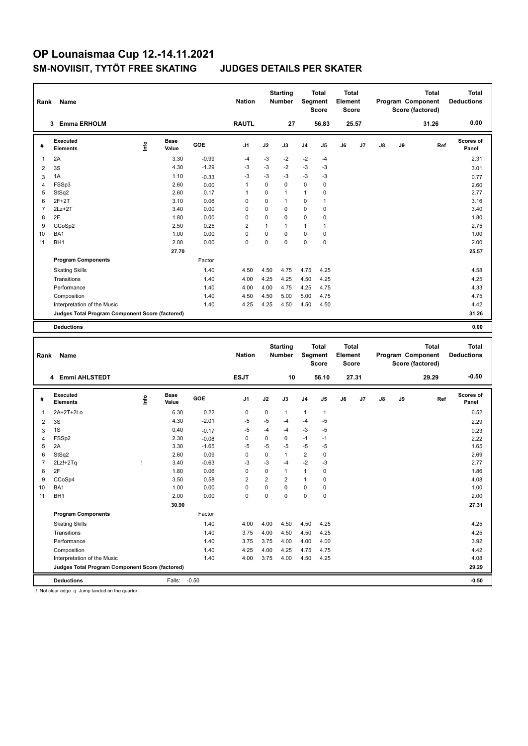| Rank | Name                                            |      |                      |            | <b>Nation</b>  |             | <b>Starting</b><br><b>Number</b> |                | <b>Total</b><br>Segment<br><b>Score</b> | <b>Total</b><br>Element<br><b>Score</b> |       |    |    | <b>Total</b><br>Program Component<br>Score (factored) | <b>Total</b><br><b>Deductions</b> |
|------|-------------------------------------------------|------|----------------------|------------|----------------|-------------|----------------------------------|----------------|-----------------------------------------|-----------------------------------------|-------|----|----|-------------------------------------------------------|-----------------------------------|
|      | <b>Emma ERHOLM</b><br>3                         |      |                      |            | <b>RAUTL</b>   |             | 27                               |                | 56.83                                   |                                         | 25.57 |    |    | 31.26                                                 | 0.00                              |
| #    | <b>Executed</b><br><b>Elements</b>              | ١nf٥ | <b>Base</b><br>Value | <b>GOE</b> | J <sub>1</sub> | J2          | J3                               | J <sub>4</sub> | J <sub>5</sub>                          | J6                                      | J7    | J8 | J9 | Ref                                                   | Scores of<br>Panel                |
| 1    | 2A                                              |      | 3.30                 | $-0.99$    | -4             | -3          | -2                               | $-2$           | $-4$                                    |                                         |       |    |    |                                                       | 2.31                              |
| 2    | 3S                                              |      | 4.30                 | $-1.29$    | $-3$           | -3          | -2                               | $-3$           | -3                                      |                                         |       |    |    |                                                       | 3.01                              |
| 3    | 1A                                              |      | 1.10                 | $-0.33$    | $-3$           | -3          | $-3$                             | $-3$           | $-3$                                    |                                         |       |    |    |                                                       | 0.77                              |
| 4    | FSSp3                                           |      | 2.60                 | 0.00       | $\overline{1}$ | 0           | 0                                | 0              | 0                                       |                                         |       |    |    |                                                       | 2.60                              |
| 5    | StSq2                                           |      | 2.60                 | 0.17       | $\mathbf 1$    | 0           | 1                                | 1              | 0                                       |                                         |       |    |    |                                                       | 2.77                              |
| 6    | $2F+2T$                                         |      | 3.10                 | 0.06       | $\Omega$       | $\Omega$    | 1                                | 0              | $\mathbf{1}$                            |                                         |       |    |    |                                                       | 3.16                              |
| 7    | $2Lz+2T$                                        |      | 3.40                 | 0.00       | 0              | $\mathbf 0$ | 0                                | 0              | 0                                       |                                         |       |    |    |                                                       | 3.40                              |
| 8    | 2F                                              |      | 1.80                 | 0.00       | 0              | 0           | 0                                | 0              | 0                                       |                                         |       |    |    |                                                       | 1.80                              |
| 9    | CCoSp2                                          |      | 2.50                 | 0.25       | $\overline{2}$ | 1           | 1                                | 1              | 1                                       |                                         |       |    |    |                                                       | 2.75                              |
| 10   | BA <sub>1</sub>                                 |      | 1.00                 | 0.00       | 0              | 0           | $\Omega$                         | 0              | 0                                       |                                         |       |    |    |                                                       | 1.00                              |
| 11   | BH <sub>1</sub>                                 |      | 2.00                 | 0.00       | 0              | 0           | 0                                | 0              | $\mathbf 0$                             |                                         |       |    |    |                                                       | 2.00                              |
|      |                                                 |      | 27.70                |            |                |             |                                  |                |                                         |                                         |       |    |    |                                                       | 25.57                             |
|      | <b>Program Components</b>                       |      |                      | Factor     |                |             |                                  |                |                                         |                                         |       |    |    |                                                       |                                   |
|      | <b>Skating Skills</b>                           |      |                      | 1.40       | 4.50           | 4.50        | 4.75                             | 4.75           | 4.25                                    |                                         |       |    |    |                                                       | 4.58                              |
|      | Transitions                                     |      |                      | 1.40       | 4.00           | 4.25        | 4.25                             | 4.50           | 4.25                                    |                                         |       |    |    |                                                       | 4.25                              |
|      | Performance                                     |      |                      | 1.40       | 4.00           | 4.00        | 4.75                             | 4.25           | 4.75                                    |                                         |       |    |    |                                                       | 4.33                              |
|      | Composition                                     |      |                      | 1.40       | 4.50           | 4.50        | 5.00                             | 5.00           | 4.75                                    |                                         |       |    |    |                                                       | 4.75                              |
|      | Interpretation of the Music                     |      |                      | 1.40       | 4.25           | 4.25        | 4.50                             | 4.50           | 4.50                                    |                                         |       |    |    |                                                       | 4.42                              |
|      | Judges Total Program Component Score (factored) |      |                      |            |                |             |                                  |                |                                         |                                         |       |    |    |                                                       | 31.26                             |
|      | <b>Deductions</b>                               |      |                      |            |                |             |                                  |                |                                         |                                         |       |    |    |                                                       | 0.00                              |

| Rank           | <b>Name</b>                                     |    |                      |         | <b>Nation</b>  |      | <b>Starting</b><br><b>Number</b> |                | <b>Total</b><br>Segment<br><b>Score</b> | <b>Total</b><br>Element<br><b>Score</b> |       |    |    | <b>Total</b><br>Program Component<br>Score (factored) | <b>Total</b><br><b>Deductions</b> |
|----------------|-------------------------------------------------|----|----------------------|---------|----------------|------|----------------------------------|----------------|-----------------------------------------|-----------------------------------------|-------|----|----|-------------------------------------------------------|-----------------------------------|
|                | <b>Emmi AHLSTEDT</b><br>4                       |    |                      |         | <b>ESJT</b>    |      | 10                               |                | 56.10                                   |                                         | 27.31 |    |    | 29.29                                                 | $-0.50$                           |
| #              | Executed<br><b>Elements</b>                     | ۴ů | <b>Base</b><br>Value | GOE     | J <sub>1</sub> | J2   | J3                               | J <sub>4</sub> | J <sub>5</sub>                          | J6                                      | J7    | J8 | J9 | Ref                                                   | Scores of<br>Panel                |
| 1              | 2A+2T+2Lo                                       |    | 6.30                 | 0.22    | 0              | 0    | $\mathbf{1}$                     | $\mathbf{1}$   | $\mathbf{1}$                            |                                         |       |    |    |                                                       | 6.52                              |
| $\overline{2}$ | 3S                                              |    | 4.30                 | $-2.01$ | $-5$           | $-5$ | -4                               | $-4$           | $-5$                                    |                                         |       |    |    |                                                       | 2.29                              |
| 3              | 1S                                              |    | 0.40                 | $-0.17$ | $-5$           | $-4$ | -4                               | $-3$           | $-5$                                    |                                         |       |    |    |                                                       | 0.23                              |
| 4              | FSSp2                                           |    | 2.30                 | $-0.08$ | 0              | 0    | 0                                | $-1$           | $-1$                                    |                                         |       |    |    |                                                       | 2.22                              |
| 5              | 2A                                              |    | 3.30                 | $-1.65$ | $-5$           | $-5$ | $-5$                             | $-5$           | $-5$                                    |                                         |       |    |    |                                                       | 1.65                              |
| 6              | StSq2                                           |    | 2.60                 | 0.09    | 0              | 0    | $\mathbf{1}$                     | 2              | 0                                       |                                         |       |    |    |                                                       | 2.69                              |
| $\overline{7}$ | $2Lz!+2Tq$                                      | -1 | 3.40                 | $-0.63$ | -3             | $-3$ | $-4$                             | $-2$           | -3                                      |                                         |       |    |    |                                                       | 2.77                              |
| 8              | 2F                                              |    | 1.80                 | 0.06    | 0              | 0    | $\mathbf{1}$                     | $\mathbf{1}$   | 0                                       |                                         |       |    |    |                                                       | 1.86                              |
| 9              | CCoSp4                                          |    | 3.50                 | 0.58    | $\overline{2}$ | 2    | $\overline{2}$                   | $\mathbf{1}$   | 0                                       |                                         |       |    |    |                                                       | 4.08                              |
| 10             | BA <sub>1</sub>                                 |    | 1.00                 | 0.00    | 0              | 0    | $\Omega$                         | 0              | 0                                       |                                         |       |    |    |                                                       | 1.00                              |
| 11             | BH <sub>1</sub>                                 |    | 2.00                 | 0.00    | $\mathbf 0$    | 0    | $\mathbf 0$                      | $\mathbf 0$    | $\mathbf 0$                             |                                         |       |    |    |                                                       | 2.00                              |
|                |                                                 |    | 30.90                |         |                |      |                                  |                |                                         |                                         |       |    |    |                                                       | 27.31                             |
|                | <b>Program Components</b>                       |    |                      | Factor  |                |      |                                  |                |                                         |                                         |       |    |    |                                                       |                                   |
|                | <b>Skating Skills</b>                           |    |                      | 1.40    | 4.00           | 4.00 | 4.50                             | 4.50           | 4.25                                    |                                         |       |    |    |                                                       | 4.25                              |
|                | Transitions                                     |    |                      | 1.40    | 3.75           | 4.00 | 4.50                             | 4.50           | 4.25                                    |                                         |       |    |    |                                                       | 4.25                              |
|                | Performance                                     |    |                      | 1.40    | 3.75           | 3.75 | 4.00                             | 4.00           | 4.00                                    |                                         |       |    |    |                                                       | 3.92                              |
|                | Composition                                     |    |                      | 1.40    | 4.25           | 4.00 | 4.25                             | 4.75           | 4.75                                    |                                         |       |    |    |                                                       | 4.42                              |
|                | Interpretation of the Music                     |    |                      | 1.40    | 4.00           | 3.75 | 4.00                             | 4.50           | 4.25                                    |                                         |       |    |    |                                                       | 4.08                              |
|                | Judges Total Program Component Score (factored) |    |                      |         |                |      |                                  |                |                                         |                                         |       |    |    |                                                       | 29.29                             |
|                | <b>Deductions</b>                               |    | Falls:               | $-0.50$ |                |      |                                  |                |                                         |                                         |       |    |    |                                                       | $-0.50$                           |

! Not clear edge q Jump landed on the quarter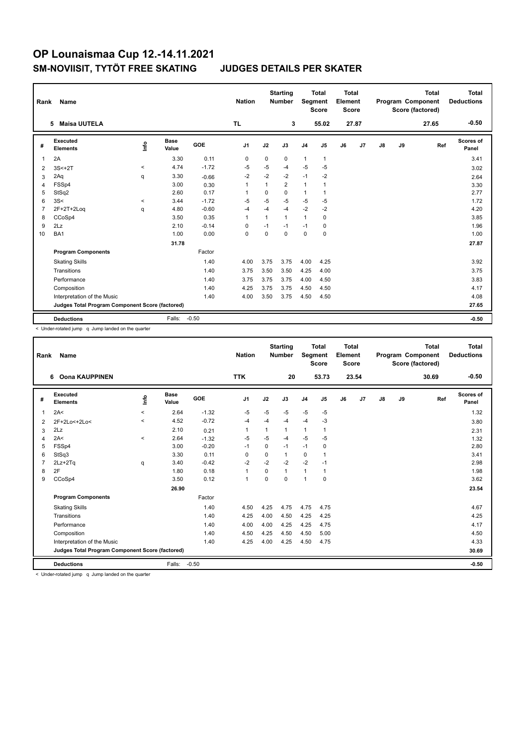|                | Rank<br>Name<br><b>Maisa UUTELA</b><br>5.       |          |                      |         |                |             | <b>Starting</b><br><b>Number</b> |                | <b>Total</b><br>Segment<br><b>Score</b> | <b>Total</b><br>Element<br><b>Score</b> |       |    |    | <b>Total</b><br>Program Component<br>Score (factored) | <b>Total</b><br><b>Deductions</b> |
|----------------|-------------------------------------------------|----------|----------------------|---------|----------------|-------------|----------------------------------|----------------|-----------------------------------------|-----------------------------------------|-------|----|----|-------------------------------------------------------|-----------------------------------|
|                |                                                 |          |                      |         | <b>TL</b>      |             | 3                                |                | 55.02                                   |                                         | 27.87 |    |    | 27.65                                                 | $-0.50$                           |
| #              | Executed<br><b>Elements</b>                     | ١nf٥     | <b>Base</b><br>Value | GOE     | J <sub>1</sub> | J2          | J3                               | J <sub>4</sub> | J <sub>5</sub>                          | J6                                      | J7    | J8 | J9 | Ref                                                   | Scores of<br>Panel                |
| 1              | 2A                                              |          | 3.30                 | 0.11    | 0              | $\mathbf 0$ | 0                                | $\mathbf{1}$   | $\mathbf{1}$                            |                                         |       |    |    |                                                       | 3.41                              |
| 2              | $3S<+2T$                                        | $\hat{}$ | 4.74                 | $-1.72$ | $-5$           | $-5$        | -4                               | $-5$           | $-5$                                    |                                         |       |    |    |                                                       | 3.02                              |
| 3              | 2Aq                                             | q        | 3.30                 | $-0.66$ | $-2$           | $-2$        | $-2$                             | $-1$           | $-2$                                    |                                         |       |    |    |                                                       | 2.64                              |
| $\overline{4}$ | FSSp4                                           |          | 3.00                 | 0.30    | 1              | 1           | $\overline{2}$                   | $\mathbf{1}$   | $\mathbf{1}$                            |                                         |       |    |    |                                                       | 3.30                              |
| 5              | StSq2                                           |          | 2.60                 | 0.17    | -1             | $\Omega$    | $\Omega$                         | $\mathbf{1}$   |                                         |                                         |       |    |    |                                                       | 2.77                              |
| 6              | 3S<                                             | $\prec$  | 3.44                 | $-1.72$ | $-5$           | $-5$        | $-5$                             | $-5$           | $-5$                                    |                                         |       |    |    |                                                       | 1.72                              |
| $\overline{7}$ | 2F+2T+2Loq                                      | q        | 4.80                 | $-0.60$ | $-4$           | $-4$        | $-4$                             | $-2$           | $-2$                                    |                                         |       |    |    |                                                       | 4.20                              |
| 8              | CCoSp4                                          |          | 3.50                 | 0.35    | $\overline{1}$ | 1           | $\mathbf{1}$                     | 1              | 0                                       |                                         |       |    |    |                                                       | 3.85                              |
| 9              | 2Lz                                             |          | 2.10                 | $-0.14$ | 0              | $-1$        | $-1$                             | $-1$           | 0                                       |                                         |       |    |    |                                                       | 1.96                              |
| 10             | BA <sub>1</sub>                                 |          | 1.00                 | 0.00    | $\mathbf 0$    | $\mathbf 0$ | $\mathbf 0$                      | $\mathbf 0$    | $\mathbf 0$                             |                                         |       |    |    |                                                       | 1.00                              |
|                |                                                 |          | 31.78                |         |                |             |                                  |                |                                         |                                         |       |    |    |                                                       | 27.87                             |
|                | <b>Program Components</b>                       |          |                      | Factor  |                |             |                                  |                |                                         |                                         |       |    |    |                                                       |                                   |
|                | <b>Skating Skills</b>                           |          |                      | 1.40    | 4.00           | 3.75        | 3.75                             | 4.00           | 4.25                                    |                                         |       |    |    |                                                       | 3.92                              |
|                | Transitions                                     |          |                      | 1.40    | 3.75           | 3.50        | 3.50                             | 4.25           | 4.00                                    |                                         |       |    |    |                                                       | 3.75                              |
|                | Performance                                     |          |                      | 1.40    | 3.75           | 3.75        | 3.75                             | 4.00           | 4.50                                    |                                         |       |    |    |                                                       | 3.83                              |
|                | Composition                                     |          |                      | 1.40    | 4.25           | 3.75        | 3.75                             | 4.50           | 4.50                                    |                                         |       |    |    |                                                       | 4.17                              |
|                | Interpretation of the Music                     |          |                      | 1.40    | 4.00           | 3.50        | 3.75                             | 4.50           | 4.50                                    |                                         |       |    |    |                                                       | 4.08                              |
|                | Judges Total Program Component Score (factored) |          |                      |         |                |             |                                  |                |                                         |                                         |       |    |    |                                                       | 27.65                             |
|                | <b>Deductions</b>                               |          | Falls:               | $-0.50$ |                |             |                                  |                |                                         |                                         |       |    |    |                                                       | $-0.50$                           |

< Under-rotated jump q Jump landed on the quarter

| Rank           | <b>Name</b>                                     |            |               |         | <b>Nation</b>  |             | <b>Starting</b><br><b>Number</b> | Segment        | <b>Total</b><br><b>Score</b> | Total<br>Element<br><b>Score</b> |       |               |    | <b>Total</b><br>Program Component<br>Score (factored) | Total<br><b>Deductions</b> |
|----------------|-------------------------------------------------|------------|---------------|---------|----------------|-------------|----------------------------------|----------------|------------------------------|----------------------------------|-------|---------------|----|-------------------------------------------------------|----------------------------|
|                | <b>Oona KAUPPINEN</b><br>6                      |            |               |         | <b>TTK</b>     |             | 20                               |                | 53.73                        |                                  | 23.54 |               |    | 30.69                                                 | $-0.50$                    |
| #              | Executed<br><b>Elements</b>                     | <b>Lin</b> | Base<br>Value | GOE     | J <sub>1</sub> | J2          | J3                               | J <sub>4</sub> | J <sub>5</sub>               | J6                               | J7    | $\mathsf{J}8$ | J9 | Ref                                                   | Scores of<br>Panel         |
| $\overline{1}$ | 2A<                                             | $\prec$    | 2.64          | $-1.32$ | $-5$           | $-5$        | $-5$                             | $-5$           | $-5$                         |                                  |       |               |    |                                                       | 1.32                       |
| 2              | 2F+2Lo<+2Lo<                                    | $\prec$    | 4.52          | $-0.72$ | $-4$           | -4          | $-4$                             | $-4$           | $-3$                         |                                  |       |               |    |                                                       | 3.80                       |
| 3              | 2Lz                                             |            | 2.10          | 0.21    | $\mathbf{1}$   | 1           | $\mathbf{1}$                     | $\mathbf{1}$   | 1                            |                                  |       |               |    |                                                       | 2.31                       |
| 4              | 2A<                                             | $\prec$    | 2.64          | $-1.32$ | $-5$           | $-5$        | $-4$                             | $-5$           | $-5$                         |                                  |       |               |    |                                                       | 1.32                       |
| 5              | FSSp4                                           |            | 3.00          | $-0.20$ | $-1$           | 0           | $-1$                             | $-1$           | 0                            |                                  |       |               |    |                                                       | 2.80                       |
| 6              | StSq3                                           |            | 3.30          | 0.11    | $\mathbf 0$    | $\mathbf 0$ | $\mathbf{1}$                     | $\mathbf 0$    | 1                            |                                  |       |               |    |                                                       | 3.41                       |
| $\overline{7}$ | $2Lz + 2Tq$                                     | q          | 3.40          | $-0.42$ | $-2$           | $-2$        | $-2$                             | $-2$           | $-1$                         |                                  |       |               |    |                                                       | 2.98                       |
| 8              | 2F                                              |            | 1.80          | 0.18    | $\mathbf{1}$   | $\Omega$    | $\mathbf{1}$                     | $\mathbf{1}$   | 1                            |                                  |       |               |    |                                                       | 1.98                       |
| 9              | CCoSp4                                          |            | 3.50          | 0.12    | $\mathbf{1}$   | $\Omega$    | $\Omega$                         | 1              | $\Omega$                     |                                  |       |               |    |                                                       | 3.62                       |
|                |                                                 |            | 26.90         |         |                |             |                                  |                |                              |                                  |       |               |    |                                                       | 23.54                      |
|                | <b>Program Components</b>                       |            |               | Factor  |                |             |                                  |                |                              |                                  |       |               |    |                                                       |                            |
|                | <b>Skating Skills</b>                           |            |               | 1.40    | 4.50           | 4.25        | 4.75                             | 4.75           | 4.75                         |                                  |       |               |    |                                                       | 4.67                       |
|                | Transitions                                     |            |               | 1.40    | 4.25           | 4.00        | 4.50                             | 4.25           | 4.25                         |                                  |       |               |    |                                                       | 4.25                       |
|                | Performance                                     |            |               | 1.40    | 4.00           | 4.00        | 4.25                             | 4.25           | 4.75                         |                                  |       |               |    |                                                       | 4.17                       |
|                | Composition                                     |            |               | 1.40    | 4.50           | 4.25        | 4.50                             | 4.50           | 5.00                         |                                  |       |               |    |                                                       | 4.50                       |
|                | Interpretation of the Music                     |            |               | 1.40    | 4.25           | 4.00        | 4.25                             | 4.50           | 4.75                         |                                  |       |               |    |                                                       | 4.33                       |
|                | Judges Total Program Component Score (factored) |            |               |         |                |             |                                  |                |                              |                                  |       |               |    |                                                       | 30.69                      |
|                | <b>Deductions</b>                               |            | Falls:        | $-0.50$ |                |             |                                  |                |                              |                                  |       |               |    |                                                       | $-0.50$                    |

< Under-rotated jump q Jump landed on the quarter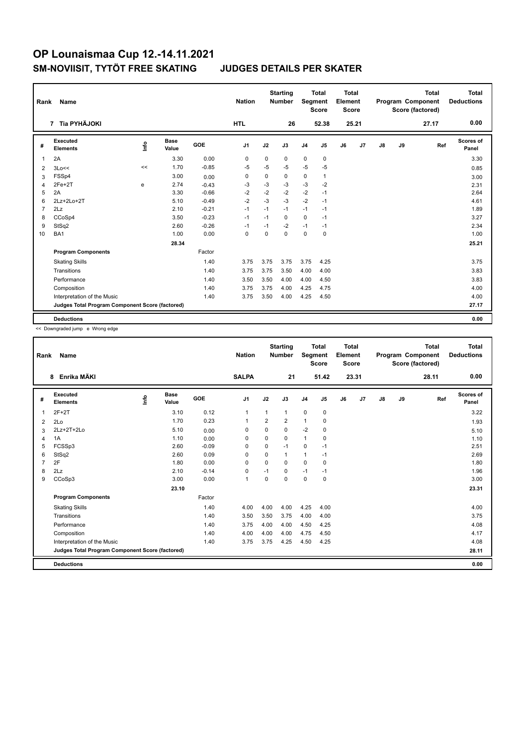| Rank           | Name                                            |      | <b>Nation</b>        |         | <b>Starting</b><br><b>Number</b> | Segment  | <b>Total</b><br><b>Score</b> | Total<br>Element<br><b>Score</b> |              |    |       | <b>Total</b><br>Program Component<br>Score (factored) | Total<br><b>Deductions</b> |       |                    |
|----------------|-------------------------------------------------|------|----------------------|---------|----------------------------------|----------|------------------------------|----------------------------------|--------------|----|-------|-------------------------------------------------------|----------------------------|-------|--------------------|
|                | 7 Tia PYHÄJOKI                                  |      |                      |         | <b>HTL</b>                       |          | 26                           |                                  | 52.38        |    | 25.21 |                                                       |                            | 27.17 | 0.00               |
| #              | <b>Executed</b><br><b>Elements</b>              | ١nf٥ | <b>Base</b><br>Value | GOE     | J <sub>1</sub>                   | J2       | J3                           | J <sub>4</sub>                   | J5           | J6 | J7    | J8                                                    | J9                         | Ref   | Scores of<br>Panel |
| 1              | 2A                                              |      | 3.30                 | 0.00    | $\Omega$                         | $\Omega$ | $\Omega$                     | 0                                | $\mathbf 0$  |    |       |                                                       |                            |       | 3.30               |
| 2              | 3Lo<<                                           | <<   | 1.70                 | $-0.85$ | $-5$                             | $-5$     | $-5$                         | $-5$                             | $-5$         |    |       |                                                       |                            |       | 0.85               |
| 3              | FSSp4                                           |      | 3.00                 | 0.00    | $\Omega$                         | 0        | $\Omega$                     | $\mathbf 0$                      | $\mathbf{1}$ |    |       |                                                       |                            |       | 3.00               |
| 4              | 2Fe+2T                                          | e    | 2.74                 | $-0.43$ | -3                               | $-3$     | $-3$                         | $-3$                             | $-2$         |    |       |                                                       |                            |       | 2.31               |
| 5              | 2A                                              |      | 3.30                 | $-0.66$ | $-2$                             | $-2$     | $-2$                         | $-2$                             | $-1$         |    |       |                                                       |                            |       | 2.64               |
| 6              | 2Lz+2Lo+2T                                      |      | 5.10                 | $-0.49$ | $-2$                             | $-3$     | $-3$                         | $-2$                             | $-1$         |    |       |                                                       |                            |       | 4.61               |
| $\overline{7}$ | 2Lz                                             |      | 2.10                 | $-0.21$ | $-1$                             | $-1$     | $-1$                         | $-1$                             | $-1$         |    |       |                                                       |                            |       | 1.89               |
| 8              | CCoSp4                                          |      | 3.50                 | $-0.23$ | $-1$                             | $-1$     | $\Omega$                     | 0                                | $-1$         |    |       |                                                       |                            |       | 3.27               |
| 9              | StSq2                                           |      | 2.60                 | $-0.26$ | $-1$                             | $-1$     | $-2$                         | $-1$                             | $-1$         |    |       |                                                       |                            |       | 2.34               |
| 10             | BA <sub>1</sub>                                 |      | 1.00                 | 0.00    | 0                                | $\Omega$ | $\Omega$                     | 0                                | $\mathbf 0$  |    |       |                                                       |                            |       | 1.00               |
|                |                                                 |      | 28.34                |         |                                  |          |                              |                                  |              |    |       |                                                       |                            |       | 25.21              |
|                | <b>Program Components</b>                       |      |                      | Factor  |                                  |          |                              |                                  |              |    |       |                                                       |                            |       |                    |
|                | <b>Skating Skills</b>                           |      |                      | 1.40    | 3.75                             | 3.75     | 3.75                         | 3.75                             | 4.25         |    |       |                                                       |                            |       | 3.75               |
|                | Transitions                                     |      |                      | 1.40    | 3.75                             | 3.75     | 3.50                         | 4.00                             | 4.00         |    |       |                                                       |                            |       | 3.83               |
|                | Performance                                     |      |                      | 1.40    | 3.50                             | 3.50     | 4.00                         | 4.00                             | 4.50         |    |       |                                                       |                            |       | 3.83               |
|                | Composition                                     |      |                      | 1.40    | 3.75                             | 3.75     | 4.00                         | 4.25                             | 4.75         |    |       |                                                       |                            |       | 4.00               |
|                | Interpretation of the Music                     |      |                      | 1.40    | 3.75                             | 3.50     | 4.00                         | 4.25                             | 4.50         |    |       |                                                       |                            |       | 4.00               |
|                | Judges Total Program Component Score (factored) |      |                      |         |                                  |          |                              |                                  |              |    |       |                                                       |                            |       | 27.17              |
|                | <b>Deductions</b>                               |      |                      |         |                                  |          |                              |                                  |              |    |       |                                                       |                            |       | 0.00               |

<< Downgraded jump e Wrong edge

| Rank           | Name                                            |      |                      |         | <b>Nation</b>  |                | <b>Starting</b><br><b>Number</b> | Segment        | Total<br><b>Score</b> | <b>Total</b><br>Element<br><b>Score</b> |       |               |    | <b>Total</b><br>Program Component<br>Score (factored) | <b>Total</b><br><b>Deductions</b> |
|----------------|-------------------------------------------------|------|----------------------|---------|----------------|----------------|----------------------------------|----------------|-----------------------|-----------------------------------------|-------|---------------|----|-------------------------------------------------------|-----------------------------------|
|                | Enrika MÄKI<br>8                                |      |                      |         | <b>SALPA</b>   |                | 21                               |                | 51.42                 |                                         | 23.31 |               |    | 28.11                                                 | 0.00                              |
| #              | Executed<br><b>Elements</b>                     | Info | <b>Base</b><br>Value | GOE     | J <sub>1</sub> | J2             | J3                               | J <sub>4</sub> | J5                    | J6                                      | J7    | $\mathsf{J}8$ | J9 | Ref                                                   | <b>Scores of</b><br>Panel         |
| 1              | $2F+2T$                                         |      | 3.10                 | 0.12    | $\mathbf{1}$   | 1              | 1                                | $\mathbf 0$    | 0                     |                                         |       |               |    |                                                       | 3.22                              |
| 2              | 2Lo                                             |      | 1.70                 | 0.23    | $\mathbf{1}$   | $\overline{2}$ | $\overline{2}$                   | $\mathbf{1}$   | 0                     |                                         |       |               |    |                                                       | 1.93                              |
| 3              | 2Lz+2T+2Lo                                      |      | 5.10                 | 0.00    | 0              | $\Omega$       | $\Omega$                         | $-2$           | 0                     |                                         |       |               |    |                                                       | 5.10                              |
| 4              | 1A                                              |      | 1.10                 | 0.00    | 0              | 0              | 0                                | $\mathbf{1}$   | 0                     |                                         |       |               |    |                                                       | 1.10                              |
| 5              | FCSSp3                                          |      | 2.60                 | $-0.09$ | 0              | 0              | $-1$                             | $\mathbf 0$    | $-1$                  |                                         |       |               |    |                                                       | 2.51                              |
| 6              | StSq2                                           |      | 2.60                 | 0.09    | $\Omega$       | $\Omega$       | $\mathbf{1}$                     | $\mathbf{1}$   | $-1$                  |                                         |       |               |    |                                                       | 2.69                              |
| $\overline{7}$ | 2F                                              |      | 1.80                 | 0.00    | $\mathbf 0$    | $\Omega$       | $\Omega$                         | $\mathbf 0$    | $\mathbf 0$           |                                         |       |               |    |                                                       | 1.80                              |
| 8              | 2Lz                                             |      | 2.10                 | $-0.14$ | 0              | $-1$           | 0                                | $-1$           | $-1$                  |                                         |       |               |    |                                                       | 1.96                              |
| 9              | CCoSp3                                          |      | 3.00                 | 0.00    | $\mathbf{1}$   | $\Omega$       | 0                                | $\mathbf 0$    | $\mathbf 0$           |                                         |       |               |    |                                                       | 3.00                              |
|                |                                                 |      | 23.10                |         |                |                |                                  |                |                       |                                         |       |               |    |                                                       | 23.31                             |
|                | <b>Program Components</b>                       |      |                      | Factor  |                |                |                                  |                |                       |                                         |       |               |    |                                                       |                                   |
|                | <b>Skating Skills</b>                           |      |                      | 1.40    | 4.00           | 4.00           | 4.00                             | 4.25           | 4.00                  |                                         |       |               |    |                                                       | 4.00                              |
|                | Transitions                                     |      |                      | 1.40    | 3.50           | 3.50           | 3.75                             | 4.00           | 4.00                  |                                         |       |               |    |                                                       | 3.75                              |
|                | Performance                                     |      |                      | 1.40    | 3.75           | 4.00           | 4.00                             | 4.50           | 4.25                  |                                         |       |               |    |                                                       | 4.08                              |
|                | Composition                                     |      |                      | 1.40    | 4.00           | 4.00           | 4.00                             | 4.75           | 4.50                  |                                         |       |               |    |                                                       | 4.17                              |
|                | Interpretation of the Music                     |      |                      | 1.40    | 3.75           | 3.75           | 4.25                             | 4.50           | 4.25                  |                                         |       |               |    |                                                       | 4.08                              |
|                | Judges Total Program Component Score (factored) |      |                      |         |                |                |                                  |                |                       |                                         |       |               |    |                                                       | 28.11                             |
|                | <b>Deductions</b>                               |      |                      |         |                |                |                                  |                |                       |                                         |       |               |    |                                                       | 0.00                              |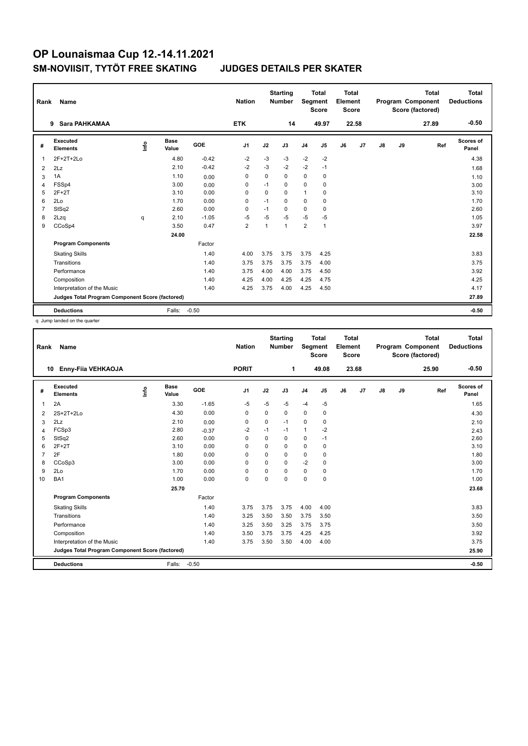| Rank           | Name                                            |      |                      |         | <b>Nation</b>  |             | <b>Starting</b><br><b>Number</b> | Segment        | <b>Total</b><br><b>Score</b> | <b>Total</b><br>Element<br><b>Score</b> |                |    |    | <b>Total</b><br>Program Component<br>Score (factored) | <b>Total</b><br><b>Deductions</b> |
|----------------|-------------------------------------------------|------|----------------------|---------|----------------|-------------|----------------------------------|----------------|------------------------------|-----------------------------------------|----------------|----|----|-------------------------------------------------------|-----------------------------------|
|                | Sara PAHKAMAA<br>9                              |      |                      |         | <b>ETK</b>     |             | 14                               |                | 49.97                        |                                         | 22.58          |    |    | 27.89                                                 | $-0.50$                           |
| #              | Executed<br><b>Elements</b>                     | lnfo | <b>Base</b><br>Value | GOE     | J <sub>1</sub> | J2          | J3                               | J <sub>4</sub> | J5                           | J6                                      | J <sub>7</sub> | J8 | J9 | Ref                                                   | <b>Scores of</b><br>Panel         |
| 1              | $2F+2T+2Lo$                                     |      | 4.80                 | $-0.42$ | $-2$           | $-3$        | $-3$                             | $-2$           | $-2$                         |                                         |                |    |    |                                                       | 4.38                              |
| 2              | 2Lz                                             |      | 2.10                 | $-0.42$ | $-2$           | $-3$        | $-2$                             | $-2$           | $-1$                         |                                         |                |    |    |                                                       | 1.68                              |
| 3              | 1A                                              |      | 1.10                 | 0.00    | 0              | 0           | 0                                | 0              | 0                            |                                         |                |    |    |                                                       | 1.10                              |
| 4              | FSSp4                                           |      | 3.00                 | 0.00    | 0              | $-1$        | $\Omega$                         | 0              | $\mathbf 0$                  |                                         |                |    |    |                                                       | 3.00                              |
| 5              | $2F+2T$                                         |      | 3.10                 | 0.00    | $\Omega$       | $\mathbf 0$ | $\Omega$                         | 1              | 0                            |                                         |                |    |    |                                                       | 3.10                              |
| 6              | 2Lo                                             |      | 1.70                 | 0.00    | 0              | $-1$        | $\mathbf 0$                      | 0              | $\mathbf 0$                  |                                         |                |    |    |                                                       | 1.70                              |
| $\overline{7}$ | StSq2                                           |      | 2.60                 | 0.00    | $\Omega$       | $-1$        | $\Omega$                         | 0              | 0                            |                                         |                |    |    |                                                       | 2.60                              |
| 8              | 2Lzq                                            | q    | 2.10                 | $-1.05$ | $-5$           | $-5$        | -5                               | $-5$           | $-5$                         |                                         |                |    |    |                                                       | 1.05                              |
| 9              | CCoSp4                                          |      | 3.50                 | 0.47    | $\overline{2}$ | 1           | 1                                | $\overline{2}$ | $\overline{1}$               |                                         |                |    |    |                                                       | 3.97                              |
|                |                                                 |      | 24.00                |         |                |             |                                  |                |                              |                                         |                |    |    |                                                       | 22.58                             |
|                | <b>Program Components</b>                       |      |                      | Factor  |                |             |                                  |                |                              |                                         |                |    |    |                                                       |                                   |
|                | <b>Skating Skills</b>                           |      |                      | 1.40    | 4.00           | 3.75        | 3.75                             | 3.75           | 4.25                         |                                         |                |    |    |                                                       | 3.83                              |
|                | Transitions                                     |      |                      | 1.40    | 3.75           | 3.75        | 3.75                             | 3.75           | 4.00                         |                                         |                |    |    |                                                       | 3.75                              |
|                | Performance                                     |      |                      | 1.40    | 3.75           | 4.00        | 4.00                             | 3.75           | 4.50                         |                                         |                |    |    |                                                       | 3.92                              |
|                | Composition                                     |      |                      | 1.40    | 4.25           | 4.00        | 4.25                             | 4.25           | 4.75                         |                                         |                |    |    |                                                       | 4.25                              |
|                | Interpretation of the Music                     |      |                      | 1.40    | 4.25           | 3.75        | 4.00                             | 4.25           | 4.50                         |                                         |                |    |    |                                                       | 4.17                              |
|                | Judges Total Program Component Score (factored) |      |                      |         |                |             |                                  |                |                              |                                         |                |    |    |                                                       | 27.89                             |
|                | <b>Deductions</b>                               |      | Falls:               | $-0.50$ |                |             |                                  |                |                              |                                         |                |    |    |                                                       | $-0.50$                           |

q Jump landed on the quarter

| Rank           | Name                                            |                                  |               |         | <b>Nation</b>  |             | <b>Starting</b><br><b>Number</b> | Segment        | <b>Total</b><br><b>Score</b> | Total<br>Element<br><b>Score</b> |       |               |    | <b>Total</b><br>Program Component<br>Score (factored) | Total<br><b>Deductions</b> |
|----------------|-------------------------------------------------|----------------------------------|---------------|---------|----------------|-------------|----------------------------------|----------------|------------------------------|----------------------------------|-------|---------------|----|-------------------------------------------------------|----------------------------|
|                | Enny-Fiia VEHKAOJA<br>10                        |                                  |               |         | <b>PORIT</b>   |             | 1                                |                | 49.08                        |                                  | 23.68 |               |    | 25.90                                                 | $-0.50$                    |
| #              | Executed<br><b>Elements</b>                     | $\mathop{\mathsf{Irr}}\nolimits$ | Base<br>Value | GOE     | J <sub>1</sub> | J2          | J3                               | J <sub>4</sub> | J5                           | J6                               | J7    | $\mathsf{J}8$ | J9 | Ref                                                   | Scores of<br>Panel         |
| 1              | 2A                                              |                                  | 3.30          | $-1.65$ | $-5$           | $-5$        | $-5$                             | $-4$           | $-5$                         |                                  |       |               |    |                                                       | 1.65                       |
| 2              | $2S+2T+2Lo$                                     |                                  | 4.30          | 0.00    | 0              | $\Omega$    | 0                                | $\mathbf 0$    | 0                            |                                  |       |               |    |                                                       | 4.30                       |
| 3              | 2Lz                                             |                                  | 2.10          | 0.00    | 0              | $\Omega$    | $-1$                             | $\Omega$       | 0                            |                                  |       |               |    |                                                       | 2.10                       |
| 4              | FCSp3                                           |                                  | 2.80          | $-0.37$ | $-2$           | $-1$        | $-1$                             | $\mathbf{1}$   | $-2$                         |                                  |       |               |    |                                                       | 2.43                       |
| 5              | StSq2                                           |                                  | 2.60          | 0.00    | $\Omega$       | $\Omega$    | $\Omega$                         | $\mathbf 0$    | $-1$                         |                                  |       |               |    |                                                       | 2.60                       |
| 6              | $2F+2T$                                         |                                  | 3.10          | 0.00    | 0              | $\Omega$    | 0                                | $\mathbf 0$    | 0                            |                                  |       |               |    |                                                       | 3.10                       |
| $\overline{7}$ | 2F                                              |                                  | 1.80          | 0.00    | 0              | $\Omega$    | 0                                | $\mathbf 0$    | 0                            |                                  |       |               |    |                                                       | 1.80                       |
| 8              | CCoSp3                                          |                                  | 3.00          | 0.00    | 0              | $\Omega$    | $\Omega$                         | $-2$           | $\mathbf 0$                  |                                  |       |               |    |                                                       | 3.00                       |
| 9              | 2Lo                                             |                                  | 1.70          | 0.00    | 0              | $\mathbf 0$ | $\Omega$                         | $\mathbf 0$    | 0                            |                                  |       |               |    |                                                       | 1.70                       |
| 10             | BA <sub>1</sub>                                 |                                  | 1.00          | 0.00    | $\mathbf 0$    | $\mathbf 0$ | 0                                | $\mathbf 0$    | $\mathbf 0$                  |                                  |       |               |    |                                                       | 1.00                       |
|                |                                                 |                                  | 25.70         |         |                |             |                                  |                |                              |                                  |       |               |    |                                                       | 23.68                      |
|                | <b>Program Components</b>                       |                                  |               | Factor  |                |             |                                  |                |                              |                                  |       |               |    |                                                       |                            |
|                | <b>Skating Skills</b>                           |                                  |               | 1.40    | 3.75           | 3.75        | 3.75                             | 4.00           | 4.00                         |                                  |       |               |    |                                                       | 3.83                       |
|                | Transitions                                     |                                  |               | 1.40    | 3.25           | 3.50        | 3.50                             | 3.75           | 3.50                         |                                  |       |               |    |                                                       | 3.50                       |
|                | Performance                                     |                                  |               | 1.40    | 3.25           | 3.50        | 3.25                             | 3.75           | 3.75                         |                                  |       |               |    |                                                       | 3.50                       |
|                | Composition                                     |                                  |               | 1.40    | 3.50           | 3.75        | 3.75                             | 4.25           | 4.25                         |                                  |       |               |    |                                                       | 3.92                       |
|                | Interpretation of the Music                     |                                  |               | 1.40    | 3.75           | 3.50        | 3.50                             | 4.00           | 4.00                         |                                  |       |               |    |                                                       | 3.75                       |
|                | Judges Total Program Component Score (factored) |                                  |               |         |                |             |                                  |                |                              |                                  |       |               |    |                                                       | 25.90                      |
|                | <b>Deductions</b>                               |                                  | Falls:        | $-0.50$ |                |             |                                  |                |                              |                                  |       |               |    |                                                       | $-0.50$                    |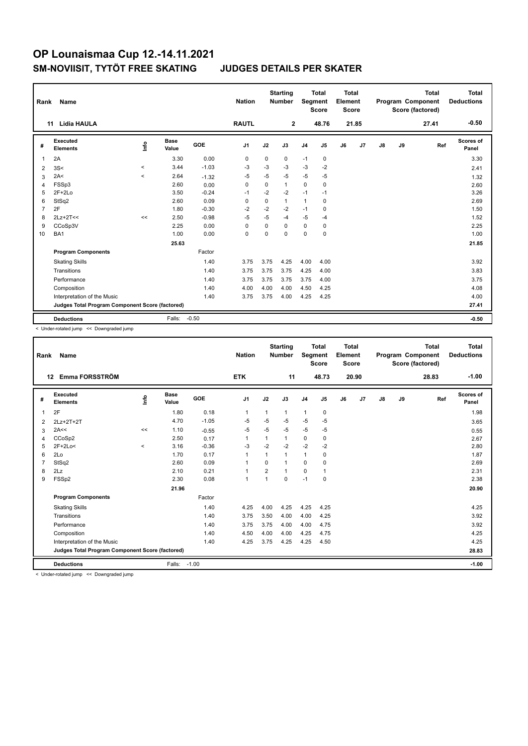| Rank           | Name                                            |          |                      |         | <b>Nation</b>  |             | <b>Starting</b><br><b>Number</b> | Segment        | <b>Total</b><br><b>Score</b> | <b>Total</b><br>Element<br><b>Score</b> |                |               |    | <b>Total</b><br>Program Component<br>Score (factored) | <b>Total</b><br><b>Deductions</b> |
|----------------|-------------------------------------------------|----------|----------------------|---------|----------------|-------------|----------------------------------|----------------|------------------------------|-----------------------------------------|----------------|---------------|----|-------------------------------------------------------|-----------------------------------|
|                | <b>Lidia HAULA</b><br>11                        |          |                      |         | <b>RAUTL</b>   |             | $\overline{2}$                   |                | 48.76                        |                                         | 21.85          |               |    | 27.41                                                 | $-0.50$                           |
| #              | Executed<br><b>Elements</b>                     | lnfo     | <b>Base</b><br>Value | GOE     | J <sub>1</sub> | J2          | J3                               | J <sub>4</sub> | J5                           | J6                                      | J <sub>7</sub> | $\mathsf{J}8$ | J9 | Ref                                                   | Scores of<br>Panel                |
| -1             | 2A                                              |          | 3.30                 | 0.00    | 0              | $\mathbf 0$ | 0                                | $-1$           | 0                            |                                         |                |               |    |                                                       | 3.30                              |
| $\overline{2}$ | 3S<                                             | $\hat{}$ | 3.44                 | $-1.03$ | $-3$           | $-3$        | $-3$                             | $-3$           | $-2$                         |                                         |                |               |    |                                                       | 2.41                              |
| 3              | 2A<                                             | $\,<\,$  | 2.64                 | $-1.32$ | $-5$           | -5          | $-5$                             | $-5$           | $-5$                         |                                         |                |               |    |                                                       | 1.32                              |
| 4              | FSSp3                                           |          | 2.60                 | 0.00    | $\Omega$       | 0           | $\mathbf{1}$                     | 0              | 0                            |                                         |                |               |    |                                                       | 2.60                              |
| 5              | $2F+2Lo$                                        |          | 3.50                 | $-0.24$ | $-1$           | $-2$        | $-2$                             | $-1$           | $-1$                         |                                         |                |               |    |                                                       | 3.26                              |
| 6              | StSq2                                           |          | 2.60                 | 0.09    | 0              | $\mathbf 0$ | $\mathbf{1}$                     | $\mathbf{1}$   | 0                            |                                         |                |               |    |                                                       | 2.69                              |
| $\overline{7}$ | 2F                                              |          | 1.80                 | $-0.30$ | $-2$           | $-2$        | $-2$                             | $-1$           | 0                            |                                         |                |               |    |                                                       | 1.50                              |
| 8              | $2Lz+2T<<$                                      | <<       | 2.50                 | $-0.98$ | $-5$           | $-5$        | -4                               | $-5$           | $-4$                         |                                         |                |               |    |                                                       | 1.52                              |
| 9              | CCoSp3V                                         |          | 2.25                 | 0.00    | $\Omega$       | $\Omega$    | $\Omega$                         | $\mathbf 0$    | 0                            |                                         |                |               |    |                                                       | 2.25                              |
| 10             | BA1                                             |          | 1.00                 | 0.00    | $\Omega$       | $\Omega$    | $\Omega$                         | 0              | $\Omega$                     |                                         |                |               |    |                                                       | 1.00                              |
|                |                                                 |          | 25.63                |         |                |             |                                  |                |                              |                                         |                |               |    |                                                       | 21.85                             |
|                | <b>Program Components</b>                       |          |                      | Factor  |                |             |                                  |                |                              |                                         |                |               |    |                                                       |                                   |
|                | <b>Skating Skills</b>                           |          |                      | 1.40    | 3.75           | 3.75        | 4.25                             | 4.00           | 4.00                         |                                         |                |               |    |                                                       | 3.92                              |
|                | Transitions                                     |          |                      | 1.40    | 3.75           | 3.75        | 3.75                             | 4.25           | 4.00                         |                                         |                |               |    |                                                       | 3.83                              |
|                | Performance                                     |          |                      | 1.40    | 3.75           | 3.75        | 3.75                             | 3.75           | 4.00                         |                                         |                |               |    |                                                       | 3.75                              |
|                | Composition                                     |          |                      | 1.40    | 4.00           | 4.00        | 4.00                             | 4.50           | 4.25                         |                                         |                |               |    |                                                       | 4.08                              |
|                | Interpretation of the Music                     |          |                      | 1.40    | 3.75           | 3.75        | 4.00                             | 4.25           | 4.25                         |                                         |                |               |    |                                                       | 4.00                              |
|                | Judges Total Program Component Score (factored) |          |                      |         |                |             |                                  |                |                              |                                         |                |               |    |                                                       | 27.41                             |
|                | <b>Deductions</b>                               |          | Falls:               | $-0.50$ |                |             |                                  |                |                              |                                         |                |               |    |                                                       | $-0.50$                           |

< Under-rotated jump << Downgraded jump

| Rank           | Name                                                             |         |                      |         | <b>Nation</b>  |                | <b>Starting</b><br><b>Number</b> | Segment        | <b>Total</b><br><b>Score</b> | Total<br>Element<br><b>Score</b> |       |               |    | <b>Total</b><br>Program Component<br>Score (factored) | <b>Total</b><br><b>Deductions</b> |
|----------------|------------------------------------------------------------------|---------|----------------------|---------|----------------|----------------|----------------------------------|----------------|------------------------------|----------------------------------|-------|---------------|----|-------------------------------------------------------|-----------------------------------|
|                | Emma FORSSTRÖM<br>12                                             |         |                      |         | <b>ETK</b>     |                | 11                               |                | 48.73                        |                                  | 20.90 |               |    | 28.83                                                 | $-1.00$                           |
| #              | Executed<br><b>Elements</b>                                      | ۱nfo    | <b>Base</b><br>Value | GOE     | J <sub>1</sub> | J2             | J3                               | J <sub>4</sub> | J <sub>5</sub>               | J6                               | J7    | $\mathsf{J}8$ | J9 | Ref                                                   | <b>Scores of</b><br>Panel         |
| 1              | 2F                                                               |         | 1.80                 | 0.18    | $\mathbf{1}$   | $\overline{1}$ | $\mathbf{1}$                     | $\mathbf{1}$   | 0                            |                                  |       |               |    |                                                       | 1.98                              |
| 2              | 2Lz+2T+2T                                                        |         | 4.70                 | $-1.05$ | $-5$           | $-5$           | $-5$                             | $-5$           | $-5$                         |                                  |       |               |    |                                                       | 3.65                              |
| 3              | 2A<<                                                             | <<      | 1.10                 | $-0.55$ | $-5$           | $-5$           | -5                               | $-5$           | -5                           |                                  |       |               |    |                                                       | 0.55                              |
| 4              | CCoSp2                                                           |         | 2.50                 | 0.17    | 1              | 1              | 1                                | 0              | 0                            |                                  |       |               |    |                                                       | 2.67                              |
| 5              | $2F+2Lo<$                                                        | $\prec$ | 3.16                 | $-0.36$ | $-3$           | $-2$           | $-2$                             | $-2$           | $-2$                         |                                  |       |               |    |                                                       | 2.80                              |
| 6              | 2Lo                                                              |         | 1.70                 | 0.17    | 1              | 1              | 1                                | $\mathbf{1}$   | 0                            |                                  |       |               |    |                                                       | 1.87                              |
| $\overline{7}$ | StSq2                                                            |         | 2.60                 | 0.09    | 1              | $\Omega$       | 1                                | $\mathbf 0$    | 0                            |                                  |       |               |    |                                                       | 2.69                              |
| 8              | 2Lz                                                              |         | 2.10                 | 0.21    | $\mathbf{1}$   | $\overline{2}$ | 1                                | 0              | 1                            |                                  |       |               |    |                                                       | 2.31                              |
| 9              | FSSp2                                                            |         | 2.30                 | 0.08    | $\mathbf{1}$   | $\overline{1}$ | 0                                | $-1$           | 0                            |                                  |       |               |    |                                                       | 2.38                              |
|                |                                                                  |         | 21.96                |         |                |                |                                  |                |                              |                                  |       |               |    |                                                       | 20.90                             |
|                | <b>Program Components</b>                                        |         |                      | Factor  |                |                |                                  |                |                              |                                  |       |               |    |                                                       |                                   |
|                | <b>Skating Skills</b>                                            |         |                      | 1.40    | 4.25           | 4.00           | 4.25                             | 4.25           | 4.25                         |                                  |       |               |    |                                                       | 4.25                              |
|                | Transitions                                                      |         |                      | 1.40    | 3.75           | 3.50           | 4.00                             | 4.00           | 4.25                         |                                  |       |               |    |                                                       | 3.92                              |
|                | Performance                                                      |         |                      | 1.40    | 3.75           | 3.75           | 4.00                             | 4.00           | 4.75                         |                                  |       |               |    |                                                       | 3.92                              |
|                | Composition                                                      |         |                      | 1.40    | 4.50           | 4.00           | 4.00                             | 4.25           | 4.75                         |                                  |       |               |    |                                                       | 4.25                              |
|                | Interpretation of the Music                                      |         |                      | 1.40    | 4.25           | 3.75           | 4.25                             | 4.25           | 4.50                         |                                  |       |               |    |                                                       | 4.25                              |
|                | Judges Total Program Component Score (factored)                  |         |                      |         |                |                |                                  |                |                              |                                  |       |               |    |                                                       | 28.83                             |
|                |                                                                  |         |                      |         |                |                |                                  |                |                              |                                  |       |               |    |                                                       |                                   |
|                | <b>Deductions</b><br>a Hadar rotated lines are Doumaroded lines. |         | Falls:               | $-1.00$ |                |                |                                  |                |                              |                                  |       |               |    |                                                       | $-1.00$                           |

< Under-rotated jump << Downgraded jump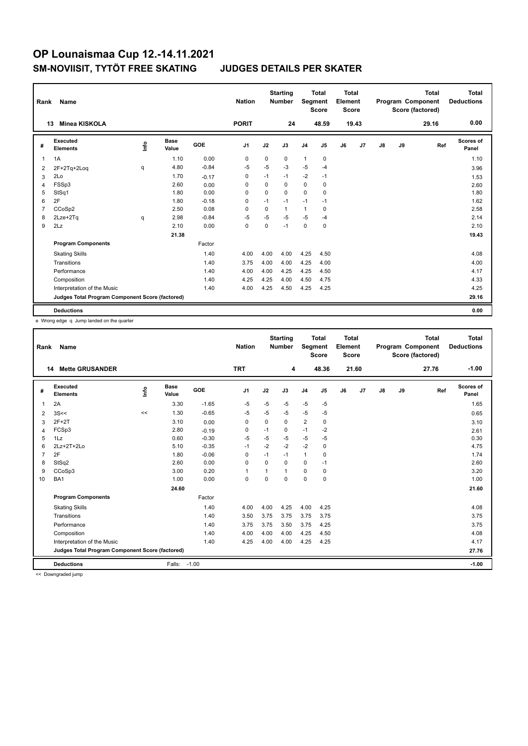| Rank           | Name                                            |      |                      |            | <b>Nation</b>  |             | <b>Starting</b><br><b>Number</b> | Segment        | <b>Total</b><br><b>Score</b> | <b>Total</b><br>Element<br><b>Score</b> |       |               |    | <b>Total</b><br>Program Component<br>Score (factored) | <b>Total</b><br><b>Deductions</b> |
|----------------|-------------------------------------------------|------|----------------------|------------|----------------|-------------|----------------------------------|----------------|------------------------------|-----------------------------------------|-------|---------------|----|-------------------------------------------------------|-----------------------------------|
|                | <b>Minea KISKOLA</b><br>13                      |      |                      |            | <b>PORIT</b>   |             | 24                               |                | 48.59                        |                                         | 19.43 |               |    | 29.16                                                 | 0.00                              |
| #              | <b>Executed</b><br><b>Elements</b>              | lnfo | <b>Base</b><br>Value | <b>GOE</b> | J <sub>1</sub> | J2          | J3                               | J <sub>4</sub> | J <sub>5</sub>               | J6                                      | J7    | $\mathsf{J}8$ | J9 | Ref                                                   | <b>Scores of</b><br>Panel         |
| 1              | 1A                                              |      | 1.10                 | 0.00       | 0              | 0           | 0                                | $\mathbf{1}$   | 0                            |                                         |       |               |    |                                                       | 1.10                              |
| 2              | 2F+2Tq+2Loq                                     | q    | 4.80                 | $-0.84$    | $-5$           | $-5$        | -3                               | $-5$           | $-4$                         |                                         |       |               |    |                                                       | 3.96                              |
| 3              | 2Lo                                             |      | 1.70                 | $-0.17$    | 0              | $-1$        | $-1$                             | $-2$           | $-1$                         |                                         |       |               |    |                                                       | 1.53                              |
| $\overline{4}$ | FSSp3                                           |      | 2.60                 | 0.00       | 0              | $\Omega$    | $\mathbf 0$                      | 0              | $\mathbf 0$                  |                                         |       |               |    |                                                       | 2.60                              |
| 5              | StSq1                                           |      | 1.80                 | 0.00       | 0              | 0           | 0                                | 0              | 0                            |                                         |       |               |    |                                                       | 1.80                              |
| 6              | 2F                                              |      | 1.80                 | $-0.18$    | 0              | $-1$        | $-1$                             | $-1$           | $-1$                         |                                         |       |               |    |                                                       | 1.62                              |
| $\overline{7}$ | CCoSp2                                          |      | 2.50                 | 0.08       | 0              | $\mathbf 0$ | $\mathbf{1}$                     | $\mathbf{1}$   | $\mathbf 0$                  |                                         |       |               |    |                                                       | 2.58                              |
| 8              | 2Lze+2Tq                                        | q    | 2.98                 | $-0.84$    | $-5$           | $-5$        | $-5$                             | $-5$           | $-4$                         |                                         |       |               |    |                                                       | 2.14                              |
| 9              | 2Lz                                             |      | 2.10                 | 0.00       | $\mathbf 0$    | 0           | $-1$                             | $\mathbf 0$    | $\mathbf 0$                  |                                         |       |               |    |                                                       | 2.10                              |
|                |                                                 |      | 21.38                |            |                |             |                                  |                |                              |                                         |       |               |    |                                                       | 19.43                             |
|                | <b>Program Components</b>                       |      |                      | Factor     |                |             |                                  |                |                              |                                         |       |               |    |                                                       |                                   |
|                | <b>Skating Skills</b>                           |      |                      | 1.40       | 4.00           | 4.00        | 4.00                             | 4.25           | 4.50                         |                                         |       |               |    |                                                       | 4.08                              |
|                | Transitions                                     |      |                      | 1.40       | 3.75           | 4.00        | 4.00                             | 4.25           | 4.00                         |                                         |       |               |    |                                                       | 4.00                              |
|                | Performance                                     |      |                      | 1.40       | 4.00           | 4.00        | 4.25                             | 4.25           | 4.50                         |                                         |       |               |    |                                                       | 4.17                              |
|                | Composition                                     |      |                      | 1.40       | 4.25           | 4.25        | 4.00                             | 4.50           | 4.75                         |                                         |       |               |    |                                                       | 4.33                              |
|                | Interpretation of the Music                     |      |                      | 1.40       | 4.00           | 4.25        | 4.50                             | 4.25           | 4.25                         |                                         |       |               |    |                                                       | 4.25                              |
|                | Judges Total Program Component Score (factored) |      |                      |            |                |             |                                  |                |                              |                                         |       |               |    |                                                       | 29.16                             |
|                | <b>Deductions</b>                               |      |                      |            |                |             |                                  |                |                              |                                         |       |               |    |                                                       | 0.00                              |

e Wrong edge q Jump landed on the quarter

| Rank           | Name                                            |      |                      |            | <b>Nation</b>  |             | <b>Starting</b><br><b>Number</b> | Segment        | <b>Total</b><br><b>Score</b> | <b>Total</b><br>Element<br><b>Score</b> |       |    |    | <b>Total</b><br>Program Component<br>Score (factored) | Total<br><b>Deductions</b> |
|----------------|-------------------------------------------------|------|----------------------|------------|----------------|-------------|----------------------------------|----------------|------------------------------|-----------------------------------------|-------|----|----|-------------------------------------------------------|----------------------------|
|                | <b>Mette GRUSANDER</b><br>14                    |      |                      |            | <b>TRT</b>     |             | 4                                |                | 48.36                        |                                         | 21.60 |    |    | 27.76                                                 | $-1.00$                    |
| #              | Executed<br><b>Elements</b>                     | ١nf٥ | <b>Base</b><br>Value | <b>GOE</b> | J <sub>1</sub> | J2          | J3                               | J <sub>4</sub> | J <sub>5</sub>               | J6                                      | J7    | J8 | J9 | Ref                                                   | Scores of<br>Panel         |
| 1              | 2A                                              |      | 3.30                 | $-1.65$    | $-5$           | $-5$        | $-5$                             | $-5$           | $-5$                         |                                         |       |    |    |                                                       | 1.65                       |
| $\overline{2}$ | 3S<<                                            | <<   | 1.30                 | $-0.65$    | $-5$           | $-5$        | $-5$                             | $-5$           | $-5$                         |                                         |       |    |    |                                                       | 0.65                       |
| 3              | $2F+2T$                                         |      | 3.10                 | 0.00       | 0              | 0           | $\Omega$                         | $\overline{2}$ | 0                            |                                         |       |    |    |                                                       | 3.10                       |
| 4              | FCSp3                                           |      | 2.80                 | $-0.19$    | 0              | $-1$        | 0                                | $-1$           | $-2$                         |                                         |       |    |    |                                                       | 2.61                       |
| 5              | 1Lz                                             |      | 0.60                 | $-0.30$    | $-5$           | $-5$        | -5                               | $-5$           | $-5$                         |                                         |       |    |    |                                                       | 0.30                       |
| 6              | 2Lz+2T+2Lo                                      |      | 5.10                 | $-0.35$    | $-1$           | $-2$        | $-2$                             | $-2$           | $\mathbf 0$                  |                                         |       |    |    |                                                       | 4.75                       |
| $\overline{7}$ | 2F                                              |      | 1.80                 | $-0.06$    | $\mathbf 0$    | $-1$        | $-1$                             | $\mathbf{1}$   | 0                            |                                         |       |    |    |                                                       | 1.74                       |
| 8              | StSq2                                           |      | 2.60                 | 0.00       | 0              | $\mathbf 0$ | 0                                | 0              | $-1$                         |                                         |       |    |    |                                                       | 2.60                       |
| 9              | CCoSp3                                          |      | 3.00                 | 0.20       | -1             | 1           | $\overline{1}$                   | $\mathbf 0$    | 0                            |                                         |       |    |    |                                                       | 3.20                       |
| 10             | BA1                                             |      | 1.00                 | 0.00       | $\mathbf 0$    | 0           | $\mathbf 0$                      | $\mathbf 0$    | $\mathbf 0$                  |                                         |       |    |    |                                                       | 1.00                       |
|                |                                                 |      | 24.60                |            |                |             |                                  |                |                              |                                         |       |    |    |                                                       | 21.60                      |
|                | <b>Program Components</b>                       |      |                      | Factor     |                |             |                                  |                |                              |                                         |       |    |    |                                                       |                            |
|                | <b>Skating Skills</b>                           |      |                      | 1.40       | 4.00           | 4.00        | 4.25                             | 4.00           | 4.25                         |                                         |       |    |    |                                                       | 4.08                       |
|                | Transitions                                     |      |                      | 1.40       | 3.50           | 3.75        | 3.75                             | 3.75           | 3.75                         |                                         |       |    |    |                                                       | 3.75                       |
|                | Performance                                     |      |                      | 1.40       | 3.75           | 3.75        | 3.50                             | 3.75           | 4.25                         |                                         |       |    |    |                                                       | 3.75                       |
|                | Composition                                     |      |                      | 1.40       | 4.00           | 4.00        | 4.00                             | 4.25           | 4.50                         |                                         |       |    |    |                                                       | 4.08                       |
|                | Interpretation of the Music                     |      |                      | 1.40       | 4.25           | 4.00        | 4.00                             | 4.25           | 4.25                         |                                         |       |    |    |                                                       | 4.17                       |
|                | Judges Total Program Component Score (factored) |      |                      |            |                |             |                                  |                |                              |                                         |       |    |    |                                                       | 27.76                      |
|                | <b>Deductions</b>                               |      | Falls:               | $-1.00$    |                |             |                                  |                |                              |                                         |       |    |    |                                                       | $-1.00$                    |
|                | and a Process and also at foreign               |      |                      |            |                |             |                                  |                |                              |                                         |       |    |    |                                                       |                            |

<< Downgraded jump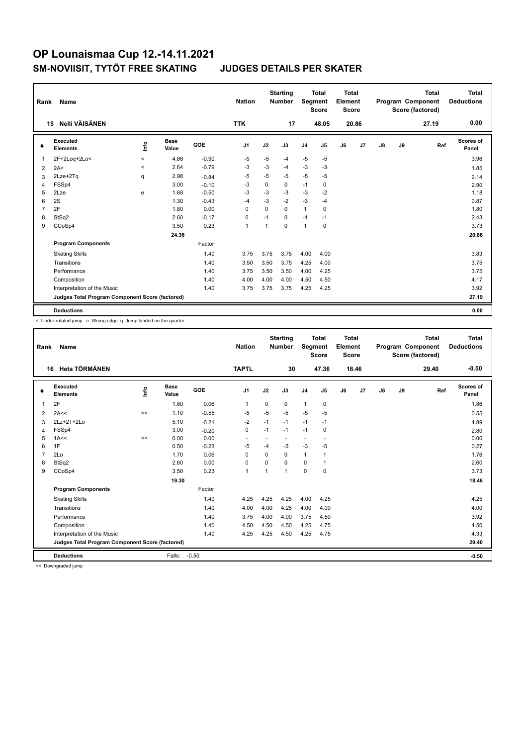| Rank | Name                                            |                          |                      |         | <b>Nation</b>  |          | <b>Starting</b><br><b>Number</b> | Segment        | Total<br><b>Score</b> | <b>Total</b><br>Element<br>Score |       |               |    | <b>Total</b><br>Program Component<br>Score (factored) | <b>Total</b><br><b>Deductions</b> |
|------|-------------------------------------------------|--------------------------|----------------------|---------|----------------|----------|----------------------------------|----------------|-----------------------|----------------------------------|-------|---------------|----|-------------------------------------------------------|-----------------------------------|
|      | Nelli VÄISÄNEN<br>15                            |                          |                      |         | <b>TTK</b>     |          | 17                               |                | 48.05                 |                                  | 20.86 |               |    | 27.19                                                 | 0.00                              |
| #    | Executed<br><b>Elements</b>                     | lnfo                     | <b>Base</b><br>Value | GOE     | J <sub>1</sub> | J2       | J3                               | J <sub>4</sub> | J5                    | J6                               | J7    | $\mathsf{J}8$ | J9 | Ref                                                   | Scores of<br>Panel                |
| 1    | 2F+2Loq+2Lo<                                    | $\hat{}$                 | 4.86                 | $-0.90$ | $-5$           | $-5$     | -4                               | $-5$           | -5                    |                                  |       |               |    |                                                       | 3.96                              |
| 2    | 2A<                                             | $\overline{\phantom{0}}$ | 2.64                 | $-0.79$ | $-3$           | $-3$     | $-4$                             | $-3$           | $-3$                  |                                  |       |               |    |                                                       | 1.85                              |
| 3    | 2Lze+2Tq                                        | q                        | 2.98                 | $-0.84$ | -5             | $-5$     | -5                               | $-5$           | $-5$                  |                                  |       |               |    |                                                       | 2.14                              |
| 4    | FSSp4                                           |                          | 3.00                 | $-0.10$ | $-3$           | 0        | 0                                | $-1$           | 0                     |                                  |       |               |    |                                                       | 2.90                              |
| 5    | 2Lze                                            | e                        | 1.68                 | $-0.50$ | $-3$           | $-3$     | $-3$                             | $-3$           | -2                    |                                  |       |               |    |                                                       | 1.18                              |
| 6    | 2S                                              |                          | 1.30                 | $-0.43$ | $-4$           | $-3$     | $-2$                             | $-3$           | $-4$                  |                                  |       |               |    |                                                       | 0.87                              |
| 7    | 2F                                              |                          | 1.80                 | 0.00    | $\Omega$       | $\Omega$ | $\Omega$                         | $\mathbf{1}$   | 0                     |                                  |       |               |    |                                                       | 1.80                              |
| 8    | StSq2                                           |                          | 2.60                 | $-0.17$ | 0              | $-1$     | $\Omega$                         | $-1$           | $-1$                  |                                  |       |               |    |                                                       | 2.43                              |
| 9    | CCoSp4                                          |                          | 3.50                 | 0.23    | $\overline{1}$ | 1        | $\Omega$                         | $\mathbf{1}$   | 0                     |                                  |       |               |    |                                                       | 3.73                              |
|      |                                                 |                          | 24.36                |         |                |          |                                  |                |                       |                                  |       |               |    |                                                       | 20.86                             |
|      | <b>Program Components</b>                       |                          |                      | Factor  |                |          |                                  |                |                       |                                  |       |               |    |                                                       |                                   |
|      | <b>Skating Skills</b>                           |                          |                      | 1.40    | 3.75           | 3.75     | 3.75                             | 4.00           | 4.00                  |                                  |       |               |    |                                                       | 3.83                              |
|      | Transitions                                     |                          |                      | 1.40    | 3.50           | 3.50     | 3.75                             | 4.25           | 4.00                  |                                  |       |               |    |                                                       | 3.75                              |
|      | Performance                                     |                          |                      | 1.40    | 3.75           | 3.50     | 3.50                             | 4.00           | 4.25                  |                                  |       |               |    |                                                       | 3.75                              |
|      | Composition                                     |                          |                      | 1.40    | 4.00           | 4.00     | 4.00                             | 4.50           | 4.50                  |                                  |       |               |    |                                                       | 4.17                              |
|      | Interpretation of the Music                     |                          |                      | 1.40    | 3.75           | 3.75     | 3.75                             | 4.25           | 4.25                  |                                  |       |               |    |                                                       | 3.92                              |
|      | Judges Total Program Component Score (factored) |                          |                      |         |                |          |                                  |                |                       |                                  |       |               |    |                                                       | 27.19                             |
|      | <b>Deductions</b>                               |                          |                      |         |                |          |                                  |                |                       |                                  |       |               |    |                                                       | 0.00                              |

< Under-rotated jump e Wrong edge q Jump landed on the quarter

| Rank           | <b>Name</b>                                     |      |                      |         | <b>Nation</b>  |          | <b>Starting</b><br><b>Number</b> | Segment        | <b>Total</b><br><b>Score</b> | <b>Total</b><br>Element<br><b>Score</b> |                |               |    | <b>Total</b><br>Program Component<br>Score (factored) | Total<br><b>Deductions</b> |
|----------------|-------------------------------------------------|------|----------------------|---------|----------------|----------|----------------------------------|----------------|------------------------------|-----------------------------------------|----------------|---------------|----|-------------------------------------------------------|----------------------------|
|                | Heta TÖRMÄNEN<br>16                             |      |                      |         | <b>TAPTL</b>   |          | 30                               |                | 47.36                        |                                         | 18.46          |               |    | 29.40                                                 | $-0.50$                    |
| #              | Executed<br><b>Elements</b>                     | ١nfo | <b>Base</b><br>Value | GOE     | J <sub>1</sub> | J2       | J3                               | J <sub>4</sub> | J <sub>5</sub>               | J6                                      | J <sub>7</sub> | $\mathsf{J}8$ | J9 | Ref                                                   | <b>Scores of</b><br>Panel  |
| $\overline{1}$ | 2F                                              |      | 1.80                 | 0.06    | $\mathbf{1}$   | 0        | 0                                | $\mathbf{1}$   | 0                            |                                         |                |               |    |                                                       | 1.86                       |
| $\overline{2}$ | 2A<<                                            | <<   | 1.10                 | $-0.55$ | $-5$           | $-5$     | $-5$                             | $-5$           | $-5$                         |                                         |                |               |    |                                                       | 0.55                       |
| 3              | 2Lz+2T+2Lo                                      |      | 5.10                 | $-0.21$ | $-2$           | $-1$     | $-1$                             | $-1$           | $-1$                         |                                         |                |               |    |                                                       | 4.89                       |
| $\overline{4}$ | FSSp4                                           |      | 3.00                 | $-0.20$ | $\pmb{0}$      | $-1$     | $-1$                             | $-1$           | 0                            |                                         |                |               |    |                                                       | 2.80                       |
| 5              | 1A<<                                            | <<   | 0.00                 | 0.00    | ٠              | ٠        |                                  | ٠              | $\blacksquare$               |                                         |                |               |    |                                                       | 0.00                       |
| 6              | 1F                                              |      | 0.50                 | $-0.23$ | $-5$           | $-4$     | $-5$                             | $-3$           | $-5$                         |                                         |                |               |    |                                                       | 0.27                       |
| $\overline{7}$ | 2Lo                                             |      | 1.70                 | 0.06    | $\mathbf 0$    | $\Omega$ | 0                                | $\mathbf{1}$   | $\mathbf{1}$                 |                                         |                |               |    |                                                       | 1.76                       |
| 8              | StSq2                                           |      | 2.60                 | 0.00    | $\mathbf 0$    | $\Omega$ | $\Omega$                         | $\Omega$       | 1                            |                                         |                |               |    |                                                       | 2.60                       |
| 9              | CCoSp4                                          |      | 3.50                 | 0.23    | $\mathbf{1}$   | 1        | 1                                | $\Omega$       | $\mathbf 0$                  |                                         |                |               |    |                                                       | 3.73                       |
|                |                                                 |      | 19.30                |         |                |          |                                  |                |                              |                                         |                |               |    |                                                       | 18.46                      |
|                | <b>Program Components</b>                       |      |                      | Factor  |                |          |                                  |                |                              |                                         |                |               |    |                                                       |                            |
|                | <b>Skating Skills</b>                           |      |                      | 1.40    | 4.25           | 4.25     | 4.25                             | 4.00           | 4.25                         |                                         |                |               |    |                                                       | 4.25                       |
|                | Transitions                                     |      |                      | 1.40    | 4.00           | 4.00     | 4.25                             | 4.00           | 4.00                         |                                         |                |               |    |                                                       | 4.00                       |
|                | Performance                                     |      |                      | 1.40    | 3.75           | 4.00     | 4.00                             | 3.75           | 4.50                         |                                         |                |               |    |                                                       | 3.92                       |
|                | Composition                                     |      |                      | 1.40    | 4.50           | 4.50     | 4.50                             | 4.25           | 4.75                         |                                         |                |               |    |                                                       | 4.50                       |
|                | Interpretation of the Music                     |      |                      | 1.40    | 4.25           | 4.25     | 4.50                             | 4.25           | 4.75                         |                                         |                |               |    |                                                       | 4.33                       |
|                | Judges Total Program Component Score (factored) |      |                      |         |                |          |                                  |                |                              |                                         |                |               |    |                                                       | 29.40                      |
|                | <b>Deductions</b>                               |      | Falls:               | $-0.50$ |                |          |                                  |                |                              |                                         |                |               |    |                                                       | $-0.50$                    |

<< Downgraded jump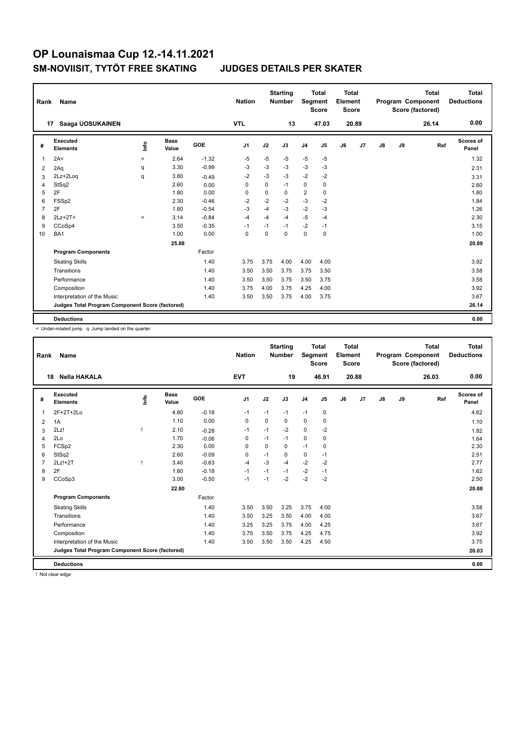| Rank           | Name                                            |                          |                      |            | <b>Nation</b>  |          | <b>Starting</b><br><b>Number</b> | Segment                 | <b>Total</b><br><b>Score</b> | <b>Total</b><br>Element<br><b>Score</b> |       |    |    | <b>Total</b><br>Program Component<br>Score (factored) | <b>Total</b><br><b>Deductions</b> |
|----------------|-------------------------------------------------|--------------------------|----------------------|------------|----------------|----------|----------------------------------|-------------------------|------------------------------|-----------------------------------------|-------|----|----|-------------------------------------------------------|-----------------------------------|
|                | Saaga UOSUKAINEN<br>17                          |                          |                      |            | <b>VTL</b>     |          | 13                               |                         | 47.03                        |                                         | 20.89 |    |    | 26.14                                                 | 0.00                              |
| #              | Executed<br><b>Elements</b>                     | lnfo                     | <b>Base</b><br>Value | <b>GOE</b> | J <sub>1</sub> | J2       | J3                               | J <sub>4</sub>          | J <sub>5</sub>               | J6                                      | J7    | J8 | J9 | Ref                                                   | Scores of<br>Panel                |
| 1              | 2A<                                             | $\overline{\phantom{0}}$ | 2.64                 | $-1.32$    | $-5$           | $-5$     | $-5$                             | $-5$                    | $-5$                         |                                         |       |    |    |                                                       | 1.32                              |
| 2              | 2Aq                                             | q                        | 3.30                 | $-0.99$    | $-3$           | $-3$     | $-3$                             | $-3$                    | $-3$                         |                                         |       |    |    |                                                       | 2.31                              |
| 3              | 2Lz+2Log                                        | q                        | 3.80                 | $-0.49$    | $-2$           | $-3$     | $-3$                             | $-2$                    | $-2$                         |                                         |       |    |    |                                                       | 3.31                              |
| $\overline{4}$ | StSq2                                           |                          | 2.60                 | 0.00       | $\Omega$       | $\Omega$ | $-1$                             | 0                       | $\mathbf 0$                  |                                         |       |    |    |                                                       | 2.60                              |
| 5              | 2F                                              |                          | 1.80                 | 0.00       | 0              | 0        | 0                                | $\overline{\mathbf{c}}$ | 0                            |                                         |       |    |    |                                                       | 1.80                              |
| 6              | FSS <sub>p2</sub>                               |                          | 2.30                 | $-0.46$    | $-2$           | $-2$     | $-2$                             | $-3$                    | $-2$                         |                                         |       |    |    |                                                       | 1.84                              |
| 7              | 2F                                              |                          | 1.80                 | $-0.54$    | $-3$           | $-4$     | $-3$                             | $-2$                    | $-3$                         |                                         |       |    |    |                                                       | 1.26                              |
| 8              | $2Lz+2T<$                                       | $\prec$                  | 3.14                 | $-0.84$    | $-4$           | $-4$     | -4                               | $-5$                    | $-4$                         |                                         |       |    |    |                                                       | 2.30                              |
| 9              | CCoSp4                                          |                          | 3.50                 | $-0.35$    | $-1$           | $-1$     | $-1$                             | $-2$                    | $-1$                         |                                         |       |    |    |                                                       | 3.15                              |
| 10             | BA1                                             |                          | 1.00                 | 0.00       | $\Omega$       | $\Omega$ | $\Omega$                         | 0                       | $\mathbf 0$                  |                                         |       |    |    |                                                       | 1.00                              |
|                |                                                 |                          | 25.88                |            |                |          |                                  |                         |                              |                                         |       |    |    |                                                       | 20.89                             |
|                | <b>Program Components</b>                       |                          |                      | Factor     |                |          |                                  |                         |                              |                                         |       |    |    |                                                       |                                   |
|                | <b>Skating Skills</b>                           |                          |                      | 1.40       | 3.75           | 3.75     | 4.00                             | 4.00                    | 4.00                         |                                         |       |    |    |                                                       | 3.92                              |
|                | Transitions                                     |                          |                      | 1.40       | 3.50           | 3.50     | 3.75                             | 3.75                    | 3.50                         |                                         |       |    |    |                                                       | 3.58                              |
|                | Performance                                     |                          |                      | 1.40       | 3.50           | 3.50     | 3.75                             | 3.50                    | 3.75                         |                                         |       |    |    |                                                       | 3.58                              |
|                | Composition                                     |                          |                      | 1.40       | 3.75           | 4.00     | 3.75                             | 4.25                    | 4.00                         |                                         |       |    |    |                                                       | 3.92                              |
|                | Interpretation of the Music                     |                          |                      | 1.40       | 3.50           | 3.50     | 3.75                             | 4.00                    | 3.75                         |                                         |       |    |    |                                                       | 3.67                              |
|                | Judges Total Program Component Score (factored) |                          |                      |            |                |          |                                  |                         |                              |                                         |       |    |    |                                                       | 26.14                             |
|                | <b>Deductions</b>                               |                          |                      |            |                |          |                                  |                         |                              |                                         |       |    |    |                                                       | 0.00                              |

< Under-rotated jump q Jump landed on the quarter

| Rank           | Name                                            |      |                      |         | <b>Nation</b>  |      | <b>Starting</b><br><b>Number</b> | <b>Segment</b> | <b>Total</b><br><b>Score</b> | Total<br>Element<br><b>Score</b> |                |               |    | Total<br>Program Component<br>Score (factored) | Total<br><b>Deductions</b> |
|----------------|-------------------------------------------------|------|----------------------|---------|----------------|------|----------------------------------|----------------|------------------------------|----------------------------------|----------------|---------------|----|------------------------------------------------|----------------------------|
|                | <b>Nella HAKALA</b><br>18                       |      |                      |         | <b>EVT</b>     |      | 19                               |                | 46.91                        |                                  | 20.88          |               |    | 26.03                                          | 0.00                       |
| #              | Executed<br><b>Elements</b>                     | info | <b>Base</b><br>Value | GOE     | J <sub>1</sub> | J2   | J3                               | J <sub>4</sub> | J <sub>5</sub>               | J6                               | J <sub>7</sub> | $\mathsf{J}8$ | J9 | Ref                                            | <b>Scores of</b><br>Panel  |
| $\overline{1}$ | 2F+2T+2Lo                                       |      | 4.80                 | $-0.18$ | $-1$           | $-1$ | $-1$                             | $-1$           | 0                            |                                  |                |               |    |                                                | 4.62                       |
| $\overline{2}$ | 1A                                              |      | 1.10                 | 0.00    | 0              | 0    | 0                                | $\mathbf 0$    | $\mathbf 0$                  |                                  |                |               |    |                                                | 1.10                       |
| 3              | 2Lz!                                            |      | 2.10                 | $-0.28$ | $-1$           | $-1$ | $-2$                             | $\Omega$       | $-2$                         |                                  |                |               |    |                                                | 1.82                       |
| 4              | 2Lo                                             |      | 1.70                 | $-0.06$ | $\mathbf 0$    | $-1$ | $-1$                             | $\mathbf 0$    | $\mathbf 0$                  |                                  |                |               |    |                                                | 1.64                       |
| 5              | FCSp2                                           |      | 2.30                 | 0.00    | 0              | 0    | 0                                | $-1$           | 0                            |                                  |                |               |    |                                                | 2.30                       |
| 6              | StSq2                                           |      | 2.60                 | $-0.09$ | 0              | $-1$ | 0                                | 0              | $-1$                         |                                  |                |               |    |                                                | 2.51                       |
| $\overline{7}$ | $2Lz!+2T$                                       |      | 3.40                 | $-0.63$ | $-4$           | $-3$ | $-4$                             | $-2$           | $-2$                         |                                  |                |               |    |                                                | 2.77                       |
| 8              | 2F                                              |      | 1.80                 | $-0.18$ | $-1$           | $-1$ | $-1$                             | $-2$           | $-1$                         |                                  |                |               |    |                                                | 1.62                       |
| 9              | CCoSp3                                          |      | 3.00                 | $-0.50$ | $-1$           | $-1$ | $-2$                             | $-2$           | $-2$                         |                                  |                |               |    |                                                | 2.50                       |
|                |                                                 |      | 22.80                |         |                |      |                                  |                |                              |                                  |                |               |    |                                                | 20.88                      |
|                | <b>Program Components</b>                       |      |                      | Factor  |                |      |                                  |                |                              |                                  |                |               |    |                                                |                            |
|                | <b>Skating Skills</b>                           |      |                      | 1.40    | 3.50           | 3.50 | 3.25                             | 3.75           | 4.00                         |                                  |                |               |    |                                                | 3.58                       |
|                | Transitions                                     |      |                      | 1.40    | 3.50           | 3.25 | 3.50                             | 4.00           | 4.00                         |                                  |                |               |    |                                                | 3.67                       |
|                | Performance                                     |      |                      | 1.40    | 3.25           | 3.25 | 3.75                             | 4.00           | 4.25                         |                                  |                |               |    |                                                | 3.67                       |
|                | Composition                                     |      |                      | 1.40    | 3.75           | 3.50 | 3.75                             | 4.25           | 4.75                         |                                  |                |               |    |                                                | 3.92                       |
|                | Interpretation of the Music                     |      |                      | 1.40    | 3.50           | 3.50 | 3.50                             | 4.25           | 4.50                         |                                  |                |               |    |                                                | 3.75                       |
|                | Judges Total Program Component Score (factored) |      |                      |         |                |      |                                  |                |                              |                                  |                |               |    |                                                | 26.03                      |
|                | <b>Deductions</b>                               |      |                      |         |                |      |                                  |                |                              |                                  |                |               |    |                                                | 0.00                       |

! Not clear edge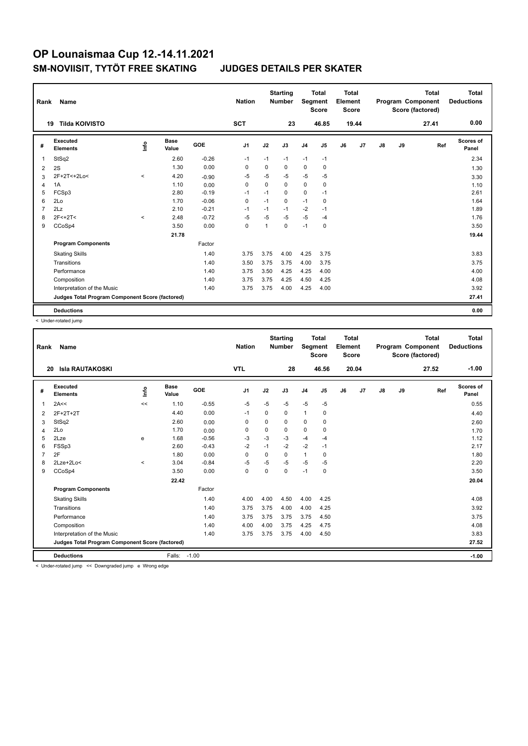| Rank           | <b>Name</b>                                     |                                  |                      |            | <b>Nation</b>  |             | <b>Starting</b><br><b>Number</b> | Segment        | <b>Total</b><br><b>Score</b> | <b>Total</b><br>Element<br><b>Score</b> |       |               |    | <b>Total</b><br>Program Component<br>Score (factored) | <b>Total</b><br><b>Deductions</b> |
|----------------|-------------------------------------------------|----------------------------------|----------------------|------------|----------------|-------------|----------------------------------|----------------|------------------------------|-----------------------------------------|-------|---------------|----|-------------------------------------------------------|-----------------------------------|
|                | <b>Tilda KOIVISTO</b><br>19                     |                                  |                      |            | <b>SCT</b>     |             | 23                               |                | 46.85                        |                                         | 19.44 |               |    | 27.41                                                 | 0.00                              |
| #              | Executed<br><b>Elements</b>                     | $\mathop{\mathsf{Irr}}\nolimits$ | <b>Base</b><br>Value | <b>GOE</b> | J <sub>1</sub> | J2          | J3                               | J <sub>4</sub> | J5                           | J6                                      | J7    | $\mathsf{J}8$ | J9 | Ref                                                   | <b>Scores of</b><br>Panel         |
| -1             | StSq2                                           |                                  | 2.60                 | $-0.26$    | $-1$           | $-1$        | $-1$                             | $-1$           | $-1$                         |                                         |       |               |    |                                                       | 2.34                              |
| 2              | 2S                                              |                                  | 1.30                 | 0.00       | $\Omega$       | $\Omega$    | 0                                | $\mathbf 0$    | 0                            |                                         |       |               |    |                                                       | 1.30                              |
| 3              | 2F+2T<+2Lo<                                     | $\prec$                          | 4.20                 | $-0.90$    | -5             | -5          | $-5$                             | $-5$           | $-5$                         |                                         |       |               |    |                                                       | 3.30                              |
| $\overline{4}$ | 1A                                              |                                  | 1.10                 | 0.00       | $\mathbf 0$    | $\mathbf 0$ | 0                                | $\mathbf 0$    | $\mathbf 0$                  |                                         |       |               |    |                                                       | 1.10                              |
| 5              | FCSp3                                           |                                  | 2.80                 | $-0.19$    | $-1$           | $-1$        | 0                                | $\mathbf 0$    | $-1$                         |                                         |       |               |    |                                                       | 2.61                              |
| 6              | 2Lo                                             |                                  | 1.70                 | $-0.06$    | 0              | $-1$        | 0                                | $-1$           | 0                            |                                         |       |               |    |                                                       | 1.64                              |
| $\overline{7}$ | 2Lz                                             |                                  | 2.10                 | $-0.21$    | $-1$           | $-1$        | $-1$                             | $-2$           | $-1$                         |                                         |       |               |    |                                                       | 1.89                              |
| 8              | $2F<+2T<$                                       | $\prec$                          | 2.48                 | $-0.72$    | -5             | -5          | $-5$                             | $-5$           | $-4$                         |                                         |       |               |    |                                                       | 1.76                              |
| 9              | CCoSp4                                          |                                  | 3.50                 | 0.00       | $\mathbf 0$    | 1           | 0                                | $-1$           | $\mathbf 0$                  |                                         |       |               |    |                                                       | 3.50                              |
|                |                                                 |                                  | 21.78                |            |                |             |                                  |                |                              |                                         |       |               |    |                                                       | 19.44                             |
|                | <b>Program Components</b>                       |                                  |                      | Factor     |                |             |                                  |                |                              |                                         |       |               |    |                                                       |                                   |
|                | <b>Skating Skills</b>                           |                                  |                      | 1.40       | 3.75           | 3.75        | 4.00                             | 4.25           | 3.75                         |                                         |       |               |    |                                                       | 3.83                              |
|                | Transitions                                     |                                  |                      | 1.40       | 3.50           | 3.75        | 3.75                             | 4.00           | 3.75                         |                                         |       |               |    |                                                       | 3.75                              |
|                | Performance                                     |                                  |                      | 1.40       | 3.75           | 3.50        | 4.25                             | 4.25           | 4.00                         |                                         |       |               |    |                                                       | 4.00                              |
|                | Composition                                     |                                  |                      | 1.40       | 3.75           | 3.75        | 4.25                             | 4.50           | 4.25                         |                                         |       |               |    |                                                       | 4.08                              |
|                | Interpretation of the Music                     |                                  |                      | 1.40       | 3.75           | 3.75        | 4.00                             | 4.25           | 4.00                         |                                         |       |               |    |                                                       | 3.92                              |
|                | Judges Total Program Component Score (factored) |                                  |                      |            |                |             |                                  |                |                              |                                         |       |               |    |                                                       | 27.41                             |
|                | <b>Deductions</b>                               |                                  |                      |            |                |             |                                  |                |                              |                                         |       |               |    |                                                       | 0.00                              |

< Under-rotated jump

| Rank           | Name                                            |                                    |                      |         | <b>Nation</b>  |             | <b>Starting</b><br><b>Number</b> | Segment        | <b>Total</b><br><b>Score</b> | Total<br>Element<br><b>Score</b> |       |    |    | <b>Total</b><br>Program Component<br>Score (factored) | Total<br><b>Deductions</b> |
|----------------|-------------------------------------------------|------------------------------------|----------------------|---------|----------------|-------------|----------------------------------|----------------|------------------------------|----------------------------------|-------|----|----|-------------------------------------------------------|----------------------------|
|                | <b>Isla RAUTAKOSKI</b><br>20                    |                                    |                      |         | <b>VTL</b>     |             | 28                               |                | 46.56                        |                                  | 20.04 |    |    | 27.52                                                 | $-1.00$                    |
| #              | Executed<br><b>Elements</b>                     | ۴ů                                 | <b>Base</b><br>Value | GOE     | J <sub>1</sub> | J2          | J3                               | J <sub>4</sub> | J <sub>5</sub>               | J6                               | J7    | J8 | J9 | Ref                                                   | Scores of<br>Panel         |
| $\overline{1}$ | 2A<<                                            | <<                                 | 1.10                 | $-0.55$ | $-5$           | $-5$        | $-5$                             | $-5$           | $-5$                         |                                  |       |    |    |                                                       | 0.55                       |
| 2              | 2F+2T+2T                                        |                                    | 4.40                 | 0.00    | $-1$           | $\Omega$    | 0                                | $\mathbf{1}$   | 0                            |                                  |       |    |    |                                                       | 4.40                       |
| 3              | StSq2                                           |                                    | 2.60                 | 0.00    | $\Omega$       | $\Omega$    | $\Omega$                         | 0              | 0                            |                                  |       |    |    |                                                       | 2.60                       |
| 4              | 2Lo                                             |                                    | 1.70                 | 0.00    | 0              | $\mathbf 0$ | 0                                | $\mathbf 0$    | $\mathbf 0$                  |                                  |       |    |    |                                                       | 1.70                       |
| 5              | 2Lze                                            | e                                  | 1.68                 | $-0.56$ | $-3$           | $-3$        | $-3$                             | $-4$           | $-4$                         |                                  |       |    |    |                                                       | 1.12                       |
| 6              | FSSp3                                           |                                    | 2.60                 | $-0.43$ | $-2$           | $-1$        | $-2$                             | $-2$           | $-1$                         |                                  |       |    |    |                                                       | 2.17                       |
| $\overline{7}$ | 2F                                              |                                    | 1.80                 | 0.00    | $\mathbf 0$    | $\mathbf 0$ | 0                                | $\mathbf{1}$   | 0                            |                                  |       |    |    |                                                       | 1.80                       |
| 8              | 2Lze+2Lo<                                       | $\prec$                            | 3.04                 | $-0.84$ | $-5$           | $-5$        | $-5$                             | $-5$           | $-5$                         |                                  |       |    |    |                                                       | 2.20                       |
| 9              | CCoSp4                                          |                                    | 3.50                 | 0.00    | $\Omega$       | $\Omega$    | $\Omega$                         | $-1$           | 0                            |                                  |       |    |    |                                                       | 3.50                       |
|                |                                                 |                                    | 22.42                |         |                |             |                                  |                |                              |                                  |       |    |    |                                                       | 20.04                      |
|                | <b>Program Components</b>                       |                                    |                      | Factor  |                |             |                                  |                |                              |                                  |       |    |    |                                                       |                            |
|                | <b>Skating Skills</b>                           |                                    |                      | 1.40    | 4.00           | 4.00        | 4.50                             | 4.00           | 4.25                         |                                  |       |    |    |                                                       | 4.08                       |
|                | Transitions                                     |                                    |                      | 1.40    | 3.75           | 3.75        | 4.00                             | 4.00           | 4.25                         |                                  |       |    |    |                                                       | 3.92                       |
|                | Performance                                     |                                    |                      | 1.40    | 3.75           | 3.75        | 3.75                             | 3.75           | 4.50                         |                                  |       |    |    |                                                       | 3.75                       |
|                | Composition                                     |                                    |                      | 1.40    | 4.00           | 4.00        | 3.75                             | 4.25           | 4.75                         |                                  |       |    |    |                                                       | 4.08                       |
|                | Interpretation of the Music                     |                                    |                      | 1.40    | 3.75           | 3.75        | 3.75                             | 4.00           | 4.50                         |                                  |       |    |    |                                                       | 3.83                       |
|                | Judges Total Program Component Score (factored) |                                    |                      |         |                |             |                                  |                |                              |                                  |       |    |    |                                                       | 27.52                      |
|                | <b>Deductions</b>                               |                                    | Falls:               | $-1.00$ |                |             |                                  |                |                              |                                  |       |    |    |                                                       | $-1.00$                    |
|                | and the state of the state of the               | $\sim$ $\sim$ $\sim$ $\sim$ $\sim$ |                      |         |                |             |                                  |                |                              |                                  |       |    |    |                                                       |                            |

< Under-rotated jump << Downgraded jump e Wrong edge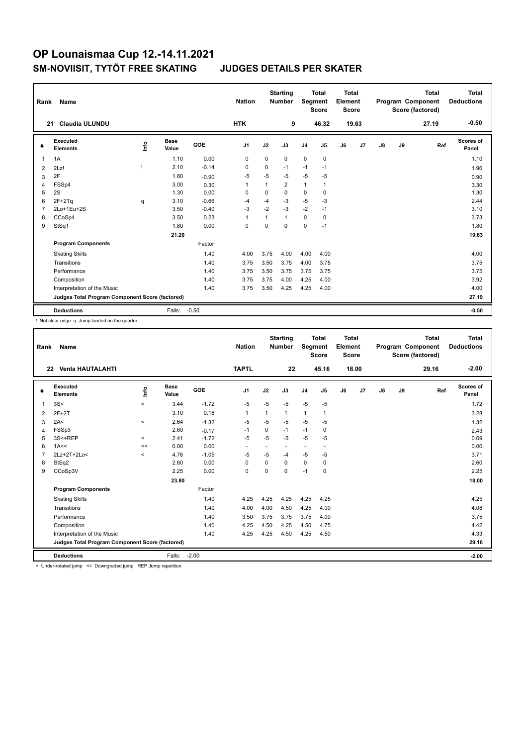| Rank | Name                                            |    |                      |         | <b>Nation</b>  |              | <b>Starting</b><br><b>Number</b> | Segment        | <b>Total</b><br><b>Score</b> | <b>Total</b><br>Element<br><b>Score</b> |       |    |    | <b>Total</b><br>Program Component<br>Score (factored) | <b>Total</b><br><b>Deductions</b> |
|------|-------------------------------------------------|----|----------------------|---------|----------------|--------------|----------------------------------|----------------|------------------------------|-----------------------------------------|-------|----|----|-------------------------------------------------------|-----------------------------------|
|      | <b>Claudia ULUNDU</b><br>21                     |    |                      |         | <b>HTK</b>     |              | 9                                |                | 46.32                        |                                         | 19.63 |    |    | 27.19                                                 | $-0.50$                           |
| #    | Executed<br><b>Elements</b>                     | ۴ů | <b>Base</b><br>Value | GOE     | J <sub>1</sub> | J2           | J3                               | J <sub>4</sub> | J5                           | J6                                      | J7    | J8 | J9 | Ref                                                   | <b>Scores of</b><br>Panel         |
| 1    | 1A                                              |    | 1.10                 | 0.00    | 0              | 0            | 0                                | 0              | $\pmb{0}$                    |                                         |       |    |    |                                                       | 1.10                              |
| 2    | 2Lz!                                            |    | 2.10                 | $-0.14$ | 0              | 0            | $-1$                             | $-1$           | $-1$                         |                                         |       |    |    |                                                       | 1.96                              |
| 3    | 2F                                              |    | 1.80                 | $-0.90$ | -5             | $-5$         | $-5$                             | $-5$           | -5                           |                                         |       |    |    |                                                       | 0.90                              |
| 4    | FSSp4                                           |    | 3.00                 | 0.30    | -1             | $\mathbf{1}$ | $\overline{2}$                   | $\mathbf{1}$   | $\mathbf{1}$                 |                                         |       |    |    |                                                       | 3.30                              |
| 5    | 2S                                              |    | 1.30                 | 0.00    | $\Omega$       | 0            | 0                                | 0              | 0                            |                                         |       |    |    |                                                       | 1.30                              |
| 6    | $2F+2Tq$                                        | q  | 3.10                 | $-0.66$ | $-4$           | $-4$         | $-3$                             | $-5$           | $-3$                         |                                         |       |    |    |                                                       | 2.44                              |
| 7    | 2Lo+1Eu+2S                                      |    | 3.50                 | $-0.40$ | $-3$           | $-2$         | $-3$                             | $-2$           | $-1$                         |                                         |       |    |    |                                                       | 3.10                              |
| 8    | CCoSp4                                          |    | 3.50                 | 0.23    | $\overline{1}$ | $\mathbf{1}$ | $\mathbf{1}$                     | 0              | $\mathbf 0$                  |                                         |       |    |    |                                                       | 3.73                              |
| 9    | StSq1                                           |    | 1.80                 | 0.00    | $\mathbf 0$    | $\mathbf 0$  | $\mathbf 0$                      | 0              | $-1$                         |                                         |       |    |    |                                                       | 1.80                              |
|      |                                                 |    | 21.20                |         |                |              |                                  |                |                              |                                         |       |    |    |                                                       | 19.63                             |
|      | <b>Program Components</b>                       |    |                      | Factor  |                |              |                                  |                |                              |                                         |       |    |    |                                                       |                                   |
|      | <b>Skating Skills</b>                           |    |                      | 1.40    | 4.00           | 3.75         | 4.00                             | 4.00           | 4.00                         |                                         |       |    |    |                                                       | 4.00                              |
|      | Transitions                                     |    |                      | 1.40    | 3.75           | 3.50         | 3.75                             | 4.00           | 3.75                         |                                         |       |    |    |                                                       | 3.75                              |
|      | Performance                                     |    |                      | 1.40    | 3.75           | 3.50         | 3.75                             | 3.75           | 3.75                         |                                         |       |    |    |                                                       | 3.75                              |
|      | Composition                                     |    |                      | 1.40    | 3.75           | 3.75         | 4.00                             | 4.25           | 4.00                         |                                         |       |    |    |                                                       | 3.92                              |
|      | Interpretation of the Music                     |    |                      | 1.40    | 3.75           | 3.50         | 4.25                             | 4.25           | 4.00                         |                                         |       |    |    |                                                       | 4.00                              |
|      | Judges Total Program Component Score (factored) |    |                      |         |                |              |                                  |                |                              |                                         |       |    |    |                                                       | 27.19                             |
|      | <b>Deductions</b>                               |    | Falls:               | $-0.50$ |                |              |                                  |                |                              |                                         |       |    |    |                                                       | $-0.50$                           |

! Not clear edge q Jump landed on the quarter

| Rank           | <b>Name</b>                                     |          |                      |         | <b>Nation</b>            |          | <b>Starting</b><br><b>Number</b> | Segment        | <b>Total</b><br><b>Score</b> | <b>Total</b><br>Element<br><b>Score</b> |       |    |    | <b>Total</b><br>Program Component<br>Score (factored) | Total<br><b>Deductions</b> |
|----------------|-------------------------------------------------|----------|----------------------|---------|--------------------------|----------|----------------------------------|----------------|------------------------------|-----------------------------------------|-------|----|----|-------------------------------------------------------|----------------------------|
|                | <b>Venia HAUTALAHTI</b><br>22                   |          |                      |         | <b>TAPTL</b>             |          | 22                               |                | 45.16                        |                                         | 18.00 |    |    | 29.16                                                 | $-2.00$                    |
| #              | Executed<br><b>Elements</b>                     | ۴        | <b>Base</b><br>Value | GOE     | J <sub>1</sub>           | J2       | J3                               | J <sub>4</sub> | J5                           | J6                                      | J7    | J8 | J9 | Ref                                                   | <b>Scores of</b><br>Panel  |
| $\overline{1}$ | 3S<                                             | $\prec$  | 3.44                 | $-1.72$ | $-5$                     | $-5$     | $-5$                             | $-5$           | $-5$                         |                                         |       |    |    |                                                       | 1.72                       |
| 2              | $2F+2T$                                         |          | 3.10                 | 0.18    | 1                        |          | $\mathbf{1}$                     | $\mathbf{1}$   | 1                            |                                         |       |    |    |                                                       | 3.28                       |
| 3              | 2A<                                             | $\prec$  | 2.64                 | $-1.32$ | $-5$                     | $-5$     | $-5$                             | $-5$           | $-5$                         |                                         |       |    |    |                                                       | 1.32                       |
| 4              | FSSp3                                           |          | 2.60                 | $-0.17$ | $-1$                     | $\Omega$ | $-1$                             | $-1$           | 0                            |                                         |       |    |    |                                                       | 2.43                       |
| 5              | 3S<+REP                                         | $\hat{}$ | 2.41                 | $-1.72$ | $-5$                     | $-5$     | $-5$                             | $-5$           | $-5$                         |                                         |       |    |    |                                                       | 0.69                       |
| 6              | 1A<<                                            | <<       | 0.00                 | 0.00    | $\overline{\phantom{a}}$ |          |                                  | ٠              |                              |                                         |       |    |    |                                                       | 0.00                       |
| $\overline{7}$ | 2Lz+2T+2Lo<                                     | $\,<$    | 4.76                 | $-1.05$ | $-5$                     | $-5$     | $-4$                             | $-5$           | $-5$                         |                                         |       |    |    |                                                       | 3.71                       |
| 8              | StSq2                                           |          | 2.60                 | 0.00    | 0                        | $\Omega$ | $\Omega$                         | 0              | 0                            |                                         |       |    |    |                                                       | 2.60                       |
| 9              | CCoSp3V                                         |          | 2.25                 | 0.00    | $\Omega$                 | $\Omega$ | 0                                | $-1$           | 0                            |                                         |       |    |    |                                                       | 2.25                       |
|                |                                                 |          | 23.80                |         |                          |          |                                  |                |                              |                                         |       |    |    |                                                       | 18.00                      |
|                | <b>Program Components</b>                       |          |                      | Factor  |                          |          |                                  |                |                              |                                         |       |    |    |                                                       |                            |
|                | <b>Skating Skills</b>                           |          |                      | 1.40    | 4.25                     | 4.25     | 4.25                             | 4.25           | 4.25                         |                                         |       |    |    |                                                       | 4.25                       |
|                | Transitions                                     |          |                      | 1.40    | 4.00                     | 4.00     | 4.50                             | 4.25           | 4.00                         |                                         |       |    |    |                                                       | 4.08                       |
|                | Performance                                     |          |                      | 1.40    | 3.50                     | 3.75     | 3.75                             | 3.75           | 4.00                         |                                         |       |    |    |                                                       | 3.75                       |
|                | Composition                                     |          |                      | 1.40    | 4.25                     | 4.50     | 4.25                             | 4.50           | 4.75                         |                                         |       |    |    |                                                       | 4.42                       |
|                | Interpretation of the Music                     |          |                      | 1.40    | 4.25                     | 4.25     | 4.50                             | 4.25           | 4.50                         |                                         |       |    |    |                                                       | 4.33                       |
|                | Judges Total Program Component Score (factored) |          |                      |         |                          |          |                                  |                |                              |                                         |       |    |    |                                                       | 29.16                      |
|                | <b>Deductions</b>                               |          | Falls:               | $-2.00$ |                          |          |                                  |                |                              |                                         |       |    |    |                                                       | $-2.00$                    |

< Under-rotated jump << Downgraded jump REP Jump repetition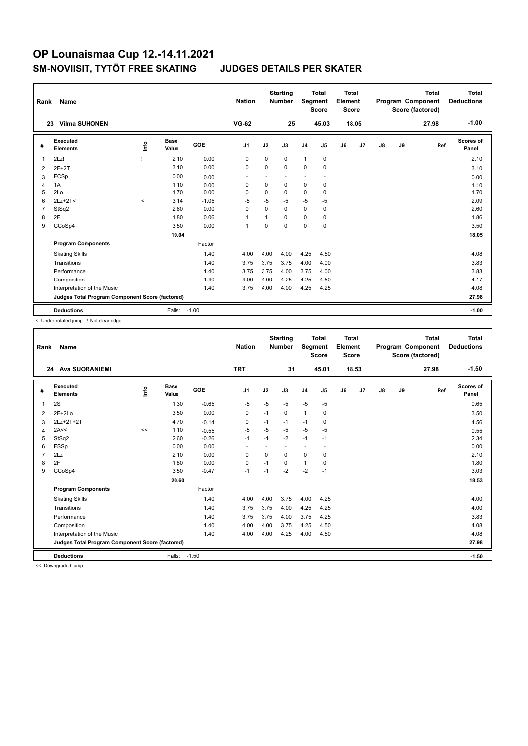| Rank           | Name                                            |         |                      |         | <b>Nation</b>  |              | <b>Starting</b><br><b>Number</b> | Segment                  | <b>Total</b><br><b>Score</b> | Total<br>Element<br><b>Score</b> |       |               |    | <b>Total</b><br>Program Component<br>Score (factored) | Total<br><b>Deductions</b> |
|----------------|-------------------------------------------------|---------|----------------------|---------|----------------|--------------|----------------------------------|--------------------------|------------------------------|----------------------------------|-------|---------------|----|-------------------------------------------------------|----------------------------|
|                | <b>Vilma SUHONEN</b><br>23                      |         |                      |         | $VG-62$        |              | 25                               |                          | 45.03                        |                                  | 18.05 |               |    | 27.98                                                 | $-1.00$                    |
| #              | <b>Executed</b><br><b>Elements</b>              | ١nf٥    | <b>Base</b><br>Value | GOE     | J <sub>1</sub> | J2           | J3                               | J <sub>4</sub>           | J5                           | J6                               | J7    | $\mathsf{J}8$ | J9 | Ref                                                   | Scores of<br>Panel         |
| 1              | 2Lz!                                            |         | 2.10                 | 0.00    | 0              | $\Omega$     | $\Omega$                         | 1                        | 0                            |                                  |       |               |    |                                                       | 2.10                       |
| 2              | $2F+2T$                                         |         | 3.10                 | 0.00    | 0              | 0            | $\Omega$                         | 0                        | $\mathbf 0$                  |                                  |       |               |    |                                                       | 3.10                       |
| 3              | FCSp                                            |         | 0.00                 | 0.00    |                |              |                                  | $\overline{\phantom{0}}$ | ٠                            |                                  |       |               |    |                                                       | 0.00                       |
| 4              | 1A                                              |         | 1.10                 | 0.00    | $\mathbf 0$    | $\mathbf 0$  | $\mathbf 0$                      | 0                        | $\mathbf 0$                  |                                  |       |               |    |                                                       | 1.10                       |
| 5              | 2Lo                                             |         | 1.70                 | 0.00    | $\Omega$       | 0            | 0                                | 0                        | 0                            |                                  |       |               |    |                                                       | 1.70                       |
| 6              | $2Lz+2T<$                                       | $\prec$ | 3.14                 | $-1.05$ | $-5$           | $-5$         | $-5$                             | $-5$                     | $-5$                         |                                  |       |               |    |                                                       | 2.09                       |
| $\overline{7}$ | StSq2                                           |         | 2.60                 | 0.00    | $\Omega$       | $\Omega$     | $\Omega$                         | $\Omega$                 | 0                            |                                  |       |               |    |                                                       | 2.60                       |
| 8              | 2F                                              |         | 1.80                 | 0.06    | $\overline{1}$ | $\mathbf{1}$ | $\Omega$                         | 0                        | 0                            |                                  |       |               |    |                                                       | 1.86                       |
| 9              | CCoSp4                                          |         | 3.50                 | 0.00    | $\overline{1}$ | 0            | $\Omega$                         | 0                        | $\mathbf 0$                  |                                  |       |               |    |                                                       | 3.50                       |
|                |                                                 |         | 19.04                |         |                |              |                                  |                          |                              |                                  |       |               |    |                                                       | 18.05                      |
|                | <b>Program Components</b>                       |         |                      | Factor  |                |              |                                  |                          |                              |                                  |       |               |    |                                                       |                            |
|                | <b>Skating Skills</b>                           |         |                      | 1.40    | 4.00           | 4.00         | 4.00                             | 4.25                     | 4.50                         |                                  |       |               |    |                                                       | 4.08                       |
|                | Transitions                                     |         |                      | 1.40    | 3.75           | 3.75         | 3.75                             | 4.00                     | 4.00                         |                                  |       |               |    |                                                       | 3.83                       |
|                | Performance                                     |         |                      | 1.40    | 3.75           | 3.75         | 4.00                             | 3.75                     | 4.00                         |                                  |       |               |    |                                                       | 3.83                       |
|                | Composition                                     |         |                      | 1.40    | 4.00           | 4.00         | 4.25                             | 4.25                     | 4.50                         |                                  |       |               |    |                                                       | 4.17                       |
|                | Interpretation of the Music                     |         |                      | 1.40    | 3.75           | 4.00         | 4.00                             | 4.25                     | 4.25                         |                                  |       |               |    |                                                       | 4.08                       |
|                | Judges Total Program Component Score (factored) |         |                      |         |                |              |                                  |                          |                              |                                  |       |               |    |                                                       | 27.98                      |
|                | <b>Deductions</b>                               |         | Falls:               | $-1.00$ |                |              |                                  |                          |                              |                                  |       |               |    |                                                       | $-1.00$                    |

< Under-rotated jump ! Not clear edge

| Rank           | <b>Name</b>                                     |    |                      |         | <b>Nation</b>            |          | <b>Starting</b><br><b>Number</b> | <b>Segment</b> | <b>Total</b><br><b>Score</b> | Total<br>Element<br><b>Score</b> |       |               |    | <b>Total</b><br>Program Component<br>Score (factored) | Total<br><b>Deductions</b> |
|----------------|-------------------------------------------------|----|----------------------|---------|--------------------------|----------|----------------------------------|----------------|------------------------------|----------------------------------|-------|---------------|----|-------------------------------------------------------|----------------------------|
|                | <b>Ava SUORANIEMI</b><br>24                     |    |                      |         | <b>TRT</b>               |          | 31                               |                | 45.01                        |                                  | 18.53 |               |    | 27.98                                                 | $-1.50$                    |
| #              | Executed<br><b>Elements</b>                     | ۴ô | <b>Base</b><br>Value | GOE     | J <sub>1</sub>           | J2       | J3                               | J <sub>4</sub> | J5                           | J6                               | J7    | $\mathsf{J}8$ | J9 | Ref                                                   | <b>Scores of</b><br>Panel  |
| $\overline{1}$ | 2S                                              |    | 1.30                 | $-0.65$ | $-5$                     | $-5$     | $-5$                             | $-5$           | $-5$                         |                                  |       |               |    |                                                       | 0.65                       |
| 2              | $2F+2Lo$                                        |    | 3.50                 | 0.00    | 0                        | $-1$     | 0                                | $\mathbf{1}$   | 0                            |                                  |       |               |    |                                                       | 3.50                       |
| 3              | 2Lz+2T+2T                                       |    | 4.70                 | $-0.14$ | 0                        | $-1$     | $-1$                             | $-1$           | 0                            |                                  |       |               |    |                                                       | 4.56                       |
| 4              | 2A<<                                            | << | 1.10                 | $-0.55$ | $-5$                     | $-5$     | $-5$                             | $-5$           | $-5$                         |                                  |       |               |    |                                                       | 0.55                       |
| 5              | StSq2                                           |    | 2.60                 | $-0.26$ | $-1$                     | $-1$     | $-2$                             | $-1$           | $-1$                         |                                  |       |               |    |                                                       | 2.34                       |
| 6              | <b>FSSp</b>                                     |    | 0.00                 | 0.00    | $\overline{\phantom{a}}$ |          |                                  | ٠              |                              |                                  |       |               |    |                                                       | 0.00                       |
| $\overline{7}$ | 2Lz                                             |    | 2.10                 | 0.00    | 0                        | $\Omega$ | $\Omega$                         | $\mathbf 0$    | $\mathbf 0$                  |                                  |       |               |    |                                                       | 2.10                       |
| 8              | 2F                                              |    | 1.80                 | 0.00    | $\mathbf 0$              | $-1$     | $\Omega$                         | $\mathbf{1}$   | 0                            |                                  |       |               |    |                                                       | 1.80                       |
| 9              | CCoSp4                                          |    | 3.50                 | $-0.47$ | $-1$                     | $-1$     | $-2$                             | $-2$           | $-1$                         |                                  |       |               |    |                                                       | 3.03                       |
|                |                                                 |    | 20.60                |         |                          |          |                                  |                |                              |                                  |       |               |    |                                                       | 18.53                      |
|                | <b>Program Components</b>                       |    |                      | Factor  |                          |          |                                  |                |                              |                                  |       |               |    |                                                       |                            |
|                | <b>Skating Skills</b>                           |    |                      | 1.40    | 4.00                     | 4.00     | 3.75                             | 4.00           | 4.25                         |                                  |       |               |    |                                                       | 4.00                       |
|                | Transitions                                     |    |                      | 1.40    | 3.75                     | 3.75     | 4.00                             | 4.25           | 4.25                         |                                  |       |               |    |                                                       | 4.00                       |
|                | Performance                                     |    |                      | 1.40    | 3.75                     | 3.75     | 4.00                             | 3.75           | 4.25                         |                                  |       |               |    |                                                       | 3.83                       |
|                | Composition                                     |    |                      | 1.40    | 4.00                     | 4.00     | 3.75                             | 4.25           | 4.50                         |                                  |       |               |    |                                                       | 4.08                       |
|                | Interpretation of the Music                     |    |                      | 1.40    | 4.00                     | 4.00     | 4.25                             | 4.00           | 4.50                         |                                  |       |               |    |                                                       | 4.08                       |
|                | Judges Total Program Component Score (factored) |    |                      |         |                          |          |                                  |                |                              |                                  |       |               |    |                                                       | 27.98                      |
|                | <b>Deductions</b>                               |    | Falls:               | $-1.50$ |                          |          |                                  |                |                              |                                  |       |               |    |                                                       | $-1.50$                    |

<< Downgraded jump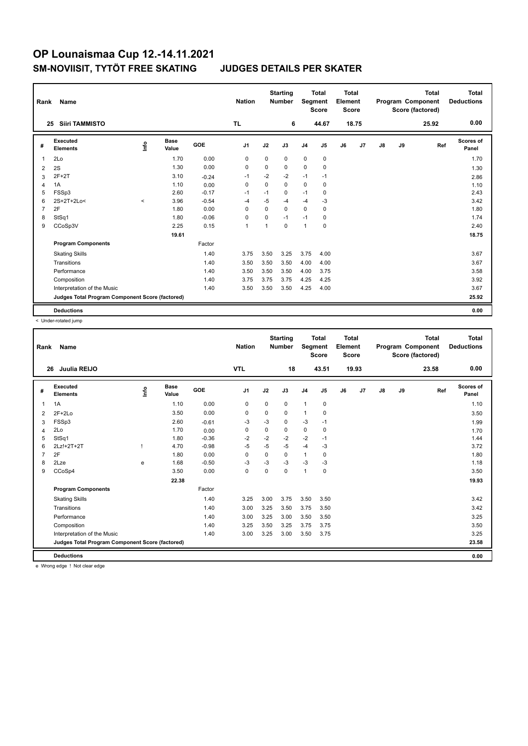| Rank           | Name                                            |       |                      |         | <b>Nation</b>  |             | <b>Starting</b><br><b>Number</b> | Segment        | <b>Total</b><br><b>Score</b> | <b>Total</b><br>Element<br><b>Score</b> |       |               |    | <b>Total</b><br>Program Component<br>Score (factored) | <b>Total</b><br><b>Deductions</b> |
|----------------|-------------------------------------------------|-------|----------------------|---------|----------------|-------------|----------------------------------|----------------|------------------------------|-----------------------------------------|-------|---------------|----|-------------------------------------------------------|-----------------------------------|
|                | <b>Siiri TAMMISTO</b><br>25                     |       |                      |         | TL.            |             | 6                                |                | 44.67                        |                                         | 18.75 |               |    | 25.92                                                 | 0.00                              |
| #              | Executed<br><b>Elements</b>                     | lnfo  | <b>Base</b><br>Value | GOE     | J <sub>1</sub> | J2          | J3                               | J <sub>4</sub> | J5                           | J6                                      | J7    | $\mathsf{J}8$ | J9 | Ref                                                   | <b>Scores of</b><br>Panel         |
| 1              | 2Lo                                             |       | 1.70                 | 0.00    | 0              | $\mathbf 0$ | 0                                | $\mathbf 0$    | $\mathbf 0$                  |                                         |       |               |    |                                                       | 1.70                              |
| 2              | 2S                                              |       | 1.30                 | 0.00    | 0              | $\Omega$    | $\Omega$                         | 0              | 0                            |                                         |       |               |    |                                                       | 1.30                              |
| 3              | $2F+2T$                                         |       | 3.10                 | $-0.24$ | $-1$           | $-2$        | $-2$                             | $-1$           | $-1$                         |                                         |       |               |    |                                                       | 2.86                              |
| 4              | 1A                                              |       | 1.10                 | 0.00    | $\mathbf 0$    | $\Omega$    | $\Omega$                         | $\mathbf 0$    | 0                            |                                         |       |               |    |                                                       | 1.10                              |
| 5              | FSSp3                                           |       | 2.60                 | $-0.17$ | $-1$           | $-1$        | 0                                | $-1$           | 0                            |                                         |       |               |    |                                                       | 2.43                              |
| 6              | 2S+2T+2Lo<                                      | $\,<$ | 3.96                 | $-0.54$ | -4             | $-5$        | $-4$                             | $-4$           | $-3$                         |                                         |       |               |    |                                                       | 3.42                              |
| $\overline{7}$ | 2F                                              |       | 1.80                 | 0.00    | $\mathbf 0$    | $\Omega$    | $\mathbf 0$                      | $\mathbf 0$    | 0                            |                                         |       |               |    |                                                       | 1.80                              |
| 8              | StSq1                                           |       | 1.80                 | $-0.06$ | 0              | 0           | $-1$                             | $-1$           | 0                            |                                         |       |               |    |                                                       | 1.74                              |
| 9              | CCoSp3V                                         |       | 2.25                 | 0.15    | $\overline{1}$ | 1           | $\Omega$                         | $\mathbf{1}$   | $\mathbf 0$                  |                                         |       |               |    |                                                       | 2.40                              |
|                |                                                 |       | 19.61                |         |                |             |                                  |                |                              |                                         |       |               |    |                                                       | 18.75                             |
|                | <b>Program Components</b>                       |       |                      | Factor  |                |             |                                  |                |                              |                                         |       |               |    |                                                       |                                   |
|                | <b>Skating Skills</b>                           |       |                      | 1.40    | 3.75           | 3.50        | 3.25                             | 3.75           | 4.00                         |                                         |       |               |    |                                                       | 3.67                              |
|                | Transitions                                     |       |                      | 1.40    | 3.50           | 3.50        | 3.50                             | 4.00           | 4.00                         |                                         |       |               |    |                                                       | 3.67                              |
|                | Performance                                     |       |                      | 1.40    | 3.50           | 3.50        | 3.50                             | 4.00           | 3.75                         |                                         |       |               |    |                                                       | 3.58                              |
|                | Composition                                     |       |                      | 1.40    | 3.75           | 3.75        | 3.75                             | 4.25           | 4.25                         |                                         |       |               |    |                                                       | 3.92                              |
|                | Interpretation of the Music                     |       |                      | 1.40    | 3.50           | 3.50        | 3.50                             | 4.25           | 4.00                         |                                         |       |               |    |                                                       | 3.67                              |
|                | Judges Total Program Component Score (factored) |       |                      |         |                |             |                                  |                |                              |                                         |       |               |    |                                                       | 25.92                             |
|                | <b>Deductions</b>                               |       |                      |         |                |             |                                  |                |                              |                                         |       |               |    |                                                       | 0.00                              |

< Under-rotated jump

| Rank           | <b>Name</b>                                                                                                                                                                                                                                                                                                                                                                                                                                                                           |                                  |                      |         | <b>Nation</b>  |             | <b>Starting</b><br><b>Number</b> | Segment        | <b>Total</b><br><b>Score</b> | <b>Total</b><br>Element<br>Score |                |               |    | <b>Total</b><br>Program Component<br>Score (factored) | <b>Total</b><br><b>Deductions</b> |
|----------------|---------------------------------------------------------------------------------------------------------------------------------------------------------------------------------------------------------------------------------------------------------------------------------------------------------------------------------------------------------------------------------------------------------------------------------------------------------------------------------------|----------------------------------|----------------------|---------|----------------|-------------|----------------------------------|----------------|------------------------------|----------------------------------|----------------|---------------|----|-------------------------------------------------------|-----------------------------------|
| 26             | Juulia REIJO                                                                                                                                                                                                                                                                                                                                                                                                                                                                          |                                  |                      |         | <b>VTL</b>     |             | 18                               |                | 43.51                        |                                  | 19.93          |               |    | 23.58                                                 | 0.00                              |
| #              | Executed<br><b>Elements</b>                                                                                                                                                                                                                                                                                                                                                                                                                                                           | $\mathop{\mathsf{Irr}}\nolimits$ | <b>Base</b><br>Value | GOE     | J <sub>1</sub> | J2          | J3                               | J <sub>4</sub> | J5                           | J6                               | J <sub>7</sub> | $\mathsf{J}8$ | J9 | Ref                                                   | <b>Scores of</b><br>Panel         |
| 1              | 1A                                                                                                                                                                                                                                                                                                                                                                                                                                                                                    |                                  | 1.10                 | 0.00    | 0              | $\mathbf 0$ | 0                                | $\mathbf{1}$   | 0                            |                                  |                |               |    |                                                       | 1.10                              |
| 2              | $2F+2Lo$                                                                                                                                                                                                                                                                                                                                                                                                                                                                              |                                  | 3.50                 | 0.00    | $\mathbf 0$    | 0           | 0                                | $\mathbf{1}$   | $\pmb{0}$                    |                                  |                |               |    |                                                       | 3.50                              |
| 3              | FSSp3                                                                                                                                                                                                                                                                                                                                                                                                                                                                                 |                                  | 2.60                 | $-0.61$ | -3             | $-3$        | $\Omega$                         | $-3$           | $-1$                         |                                  |                |               |    |                                                       | 1.99                              |
| $\overline{4}$ | 2Lo                                                                                                                                                                                                                                                                                                                                                                                                                                                                                   |                                  | 1.70                 | 0.00    | $\mathbf 0$    | $\mathbf 0$ | 0                                | $\mathbf 0$    | $\mathbf 0$                  |                                  |                |               |    |                                                       | 1.70                              |
| 5              | StSq1                                                                                                                                                                                                                                                                                                                                                                                                                                                                                 |                                  | 1.80                 | $-0.36$ | $-2$           | $-2$        | $-2$                             | $-2$           | $-1$                         |                                  |                |               |    |                                                       | 1.44                              |
| 6              | 2Lz!+2T+2T                                                                                                                                                                                                                                                                                                                                                                                                                                                                            |                                  | 4.70                 | $-0.98$ | $-5$           | $-5$        | $-5$                             | $-4$           | -3                           |                                  |                |               |    |                                                       | 3.72                              |
| $\overline{7}$ | 2F                                                                                                                                                                                                                                                                                                                                                                                                                                                                                    |                                  | 1.80                 | 0.00    | $\mathbf 0$    | 0           | 0                                | $\mathbf{1}$   | 0                            |                                  |                |               |    |                                                       | 1.80                              |
| 8              | 2Lze                                                                                                                                                                                                                                                                                                                                                                                                                                                                                  | e                                | 1.68                 | $-0.50$ | $-3$           | $-3$        | $-3$                             | $-3$           | -3                           |                                  |                |               |    |                                                       | 1.18                              |
| 9              | CCoSp4                                                                                                                                                                                                                                                                                                                                                                                                                                                                                |                                  | 3.50                 | 0.00    | 0              | 0           | $\Omega$                         | $\mathbf{1}$   | 0                            |                                  |                |               |    |                                                       | 3.50                              |
|                |                                                                                                                                                                                                                                                                                                                                                                                                                                                                                       |                                  | 22.38                |         |                |             |                                  |                |                              |                                  |                |               |    |                                                       | 19.93                             |
|                | <b>Program Components</b>                                                                                                                                                                                                                                                                                                                                                                                                                                                             |                                  |                      | Factor  |                |             |                                  |                |                              |                                  |                |               |    |                                                       |                                   |
|                | <b>Skating Skills</b>                                                                                                                                                                                                                                                                                                                                                                                                                                                                 |                                  |                      | 1.40    | 3.25           | 3.00        | 3.75                             | 3.50           | 3.50                         |                                  |                |               |    |                                                       | 3.42                              |
|                | Transitions                                                                                                                                                                                                                                                                                                                                                                                                                                                                           |                                  |                      | 1.40    | 3.00           | 3.25        | 3.50                             | 3.75           | 3.50                         |                                  |                |               |    |                                                       | 3.42                              |
|                | Performance                                                                                                                                                                                                                                                                                                                                                                                                                                                                           |                                  |                      | 1.40    | 3.00           | 3.25        | 3.00                             | 3.50           | 3.50                         |                                  |                |               |    |                                                       | 3.25                              |
|                | Composition                                                                                                                                                                                                                                                                                                                                                                                                                                                                           |                                  |                      | 1.40    | 3.25           | 3.50        | 3.25                             | 3.75           | 3.75                         |                                  |                |               |    |                                                       | 3.50                              |
|                | Interpretation of the Music                                                                                                                                                                                                                                                                                                                                                                                                                                                           |                                  |                      | 1.40    | 3.00           | 3.25        | 3.00                             | 3.50           | 3.75                         |                                  |                |               |    |                                                       | 3.25                              |
|                | Judges Total Program Component Score (factored)                                                                                                                                                                                                                                                                                                                                                                                                                                       |                                  |                      |         |                |             |                                  |                |                              |                                  |                |               |    |                                                       | 23.58                             |
|                | <b>Deductions</b>                                                                                                                                                                                                                                                                                                                                                                                                                                                                     |                                  |                      |         |                |             |                                  |                |                              |                                  |                |               |    |                                                       | 0.00                              |
|                | $\mathbf{1} \cdot \mathbf{1} \cdot \mathbf{1} \cdot \mathbf{1} \cdot \mathbf{1} \cdot \mathbf{1} \cdot \mathbf{1} \cdot \mathbf{1} \cdot \mathbf{1} \cdot \mathbf{1} \cdot \mathbf{1} \cdot \mathbf{1} \cdot \mathbf{1} \cdot \mathbf{1} \cdot \mathbf{1} \cdot \mathbf{1} \cdot \mathbf{1} \cdot \mathbf{1} \cdot \mathbf{1} \cdot \mathbf{1} \cdot \mathbf{1} \cdot \mathbf{1} \cdot \mathbf{1} \cdot \mathbf{1} \cdot \mathbf{1} \cdot \mathbf{1} \cdot \mathbf{1} \cdot \mathbf{$ |                                  |                      |         |                |             |                                  |                |                              |                                  |                |               |    |                                                       |                                   |

e Wrong edge ! Not clear edge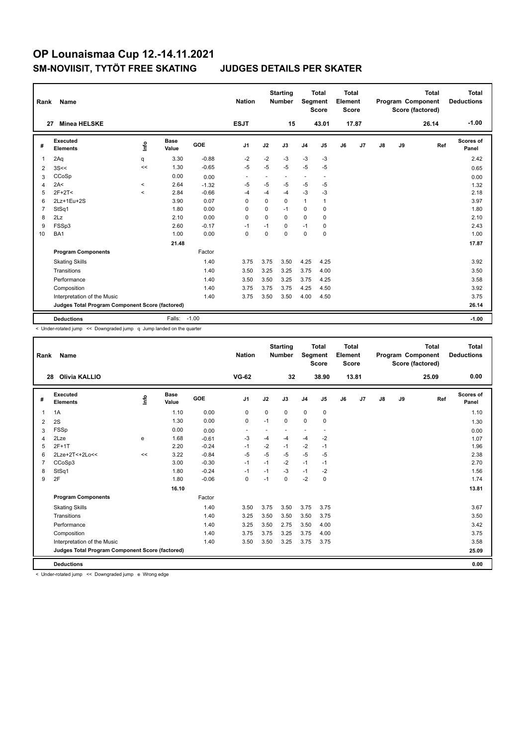| Rank           | Name                                            |          |                      |         | <b>Nation</b>            |                          | <b>Starting</b><br><b>Number</b> |                | <b>Total</b><br>Segment<br><b>Score</b> | <b>Total</b><br>Element<br><b>Score</b> |       |    |    | <b>Total</b><br>Program Component<br>Score (factored) | <b>Total</b><br><b>Deductions</b> |
|----------------|-------------------------------------------------|----------|----------------------|---------|--------------------------|--------------------------|----------------------------------|----------------|-----------------------------------------|-----------------------------------------|-------|----|----|-------------------------------------------------------|-----------------------------------|
| 27             | <b>Minea HELSKE</b>                             |          |                      |         | <b>ESJT</b>              |                          | 15                               |                | 43.01                                   |                                         | 17.87 |    |    | 26.14                                                 | $-1.00$                           |
| #              | <b>Executed</b><br><b>Elements</b>              | ١nf٥     | <b>Base</b><br>Value | GOE     | J <sub>1</sub>           | J2                       | J3                               | J <sub>4</sub> | J5                                      | J6                                      | J7    | J8 | J9 | Ref                                                   | Scores of<br>Panel                |
| 1              | 2Aq                                             | q        | 3.30                 | $-0.88$ | $-2$                     | $-2$                     | $-3$                             | $-3$           | $-3$                                    |                                         |       |    |    |                                                       | 2.42                              |
| $\overline{2}$ | 3S<<                                            | <<       | 1.30                 | $-0.65$ | $-5$                     | $-5$                     | $-5$                             | $-5$           | $-5$                                    |                                         |       |    |    |                                                       | 0.65                              |
| 3              | CCoSp                                           |          | 0.00                 | 0.00    | $\overline{\phantom{a}}$ | $\overline{\phantom{a}}$ | $\overline{\phantom{a}}$         | ٠              | $\overline{\phantom{a}}$                |                                         |       |    |    |                                                       | 0.00                              |
| $\overline{4}$ | 2A<                                             | $\hat{}$ | 2.64                 | $-1.32$ | $-5$                     | $-5$                     | $-5$                             | $-5$           | $-5$                                    |                                         |       |    |    |                                                       | 1.32                              |
| 5              | $2F+2T<$                                        | $\prec$  | 2.84                 | $-0.66$ | $-4$                     | $-4$                     | -4                               | $-3$           | -3                                      |                                         |       |    |    |                                                       | 2.18                              |
| 6              | 2Lz+1Eu+2S                                      |          | 3.90                 | 0.07    | 0                        | $\Omega$                 | 0                                | $\mathbf{1}$   | $\mathbf{1}$                            |                                         |       |    |    |                                                       | 3.97                              |
| $\overline{7}$ | StSq1                                           |          | 1.80                 | 0.00    | $\Omega$                 | $\Omega$                 | $-1$                             | 0              | 0                                       |                                         |       |    |    |                                                       | 1.80                              |
| 8              | 2Lz                                             |          | 2.10                 | 0.00    | 0                        | $\mathbf 0$              | $\Omega$                         | 0              | $\mathbf 0$                             |                                         |       |    |    |                                                       | 2.10                              |
| 9              | FSSp3                                           |          | 2.60                 | $-0.17$ | $-1$                     | $-1$                     | $\Omega$                         | $-1$           | 0                                       |                                         |       |    |    |                                                       | 2.43                              |
| 10             | BA <sub>1</sub>                                 |          | 1.00                 | 0.00    | 0                        | 0                        | $\Omega$                         | 0              | $\mathbf 0$                             |                                         |       |    |    |                                                       | 1.00                              |
|                |                                                 |          | 21.48                |         |                          |                          |                                  |                |                                         |                                         |       |    |    |                                                       | 17.87                             |
|                | <b>Program Components</b>                       |          |                      | Factor  |                          |                          |                                  |                |                                         |                                         |       |    |    |                                                       |                                   |
|                | <b>Skating Skills</b>                           |          |                      | 1.40    | 3.75                     | 3.75                     | 3.50                             | 4.25           | 4.25                                    |                                         |       |    |    |                                                       | 3.92                              |
|                | Transitions                                     |          |                      | 1.40    | 3.50                     | 3.25                     | 3.25                             | 3.75           | 4.00                                    |                                         |       |    |    |                                                       | 3.50                              |
|                | Performance                                     |          |                      | 1.40    | 3.50                     | 3.50                     | 3.25                             | 3.75           | 4.25                                    |                                         |       |    |    |                                                       | 3.58                              |
|                | Composition                                     |          |                      | 1.40    | 3.75                     | 3.75                     | 3.75                             | 4.25           | 4.50                                    |                                         |       |    |    |                                                       | 3.92                              |
|                | Interpretation of the Music                     |          |                      | 1.40    | 3.75                     | 3.50                     | 3.50                             | 4.00           | 4.50                                    |                                         |       |    |    |                                                       | 3.75                              |
|                | Judges Total Program Component Score (factored) |          |                      |         |                          |                          |                                  |                |                                         |                                         |       |    |    |                                                       | 26.14                             |
|                | <b>Deductions</b>                               |          | Falls:               | $-1.00$ |                          |                          |                                  |                |                                         |                                         |       |    |    |                                                       | $-1.00$                           |

< Under-rotated jump << Downgraded jump q Jump landed on the quarter

| Rank           | <b>Name</b>                                     |      |                      |         | <b>Nation</b>  |          | <b>Starting</b><br><b>Number</b> | Segment        | <b>Total</b><br><b>Score</b> | Total<br>Element<br><b>Score</b> |       |               |    | <b>Total</b><br>Program Component<br>Score (factored) | Total<br><b>Deductions</b> |
|----------------|-------------------------------------------------|------|----------------------|---------|----------------|----------|----------------------------------|----------------|------------------------------|----------------------------------|-------|---------------|----|-------------------------------------------------------|----------------------------|
|                | Olivia KALLIO<br>28                             |      |                      |         | <b>VG-62</b>   |          | 32                               |                | 38.90                        |                                  | 13.81 |               |    | 25.09                                                 | 0.00                       |
| #              | Executed<br><b>Elements</b>                     | Info | <b>Base</b><br>Value | GOE     | J <sub>1</sub> | J2       | J3                               | J <sub>4</sub> | J <sub>5</sub>               | J6                               | J7    | $\mathsf{J}8$ | J9 | Ref                                                   | <b>Scores of</b><br>Panel  |
| $\overline{1}$ | 1A                                              |      | 1.10                 | 0.00    | $\mathbf 0$    | $\Omega$ | 0                                | $\mathbf 0$    | 0                            |                                  |       |               |    |                                                       | 1.10                       |
| 2              | 2S                                              |      | 1.30                 | 0.00    | $\mathbf 0$    | $-1$     | $\Omega$                         | $\mathbf 0$    | $\mathbf 0$                  |                                  |       |               |    |                                                       | 1.30                       |
| 3              | <b>FSSp</b>                                     |      | 0.00                 | 0.00    | ٠              |          | $\overline{\phantom{a}}$         | ۰              |                              |                                  |       |               |    |                                                       | 0.00                       |
| 4              | 2Lze                                            | e    | 1.68                 | $-0.61$ | $-3$           | -4       | $-4$                             | $-4$           | $-2$                         |                                  |       |               |    |                                                       | 1.07                       |
| 5              | $2F+1T$                                         |      | 2.20                 | $-0.24$ | $-1$           | $-2$     | $-1$                             | $-2$           | $-1$                         |                                  |       |               |    |                                                       | 1.96                       |
| 6              | 2Lze+2T<+2Lo<<                                  | <<   | 3.22                 | $-0.84$ | $-5$           | $-5$     | $-5$                             | $-5$           | $-5$                         |                                  |       |               |    |                                                       | 2.38                       |
| $\overline{7}$ | CCoSp3                                          |      | 3.00                 | $-0.30$ | $-1$           | $-1$     | $-2$                             | $-1$           | $-1$                         |                                  |       |               |    |                                                       | 2.70                       |
| 8              | StSq1                                           |      | 1.80                 | $-0.24$ | $-1$           | $-1$     | $-3$                             | $-1$           | $-2$                         |                                  |       |               |    |                                                       | 1.56                       |
| 9              | 2F                                              |      | 1.80                 | $-0.06$ | 0              | $-1$     | 0                                | $-2$           | 0                            |                                  |       |               |    |                                                       | 1.74                       |
|                |                                                 |      | 16.10                |         |                |          |                                  |                |                              |                                  |       |               |    |                                                       | 13.81                      |
|                | <b>Program Components</b>                       |      |                      | Factor  |                |          |                                  |                |                              |                                  |       |               |    |                                                       |                            |
|                | <b>Skating Skills</b>                           |      |                      | 1.40    | 3.50           | 3.75     | 3.50                             | 3.75           | 3.75                         |                                  |       |               |    |                                                       | 3.67                       |
|                | Transitions                                     |      |                      | 1.40    | 3.25           | 3.50     | 3.50                             | 3.50           | 3.75                         |                                  |       |               |    |                                                       | 3.50                       |
|                | Performance                                     |      |                      | 1.40    | 3.25           | 3.50     | 2.75                             | 3.50           | 4.00                         |                                  |       |               |    |                                                       | 3.42                       |
|                | Composition                                     |      |                      | 1.40    | 3.75           | 3.75     | 3.25                             | 3.75           | 4.00                         |                                  |       |               |    |                                                       | 3.75                       |
|                | Interpretation of the Music                     |      |                      | 1.40    | 3.50           | 3.50     | 3.25                             | 3.75           | 3.75                         |                                  |       |               |    |                                                       | 3.58                       |
|                | Judges Total Program Component Score (factored) |      |                      |         |                |          |                                  |                |                              |                                  |       |               |    |                                                       | 25.09                      |
|                | <b>Deductions</b>                               |      |                      |         |                |          |                                  |                |                              |                                  |       |               |    |                                                       | 0.00                       |

< Under-rotated jump << Downgraded jump e Wrong edge